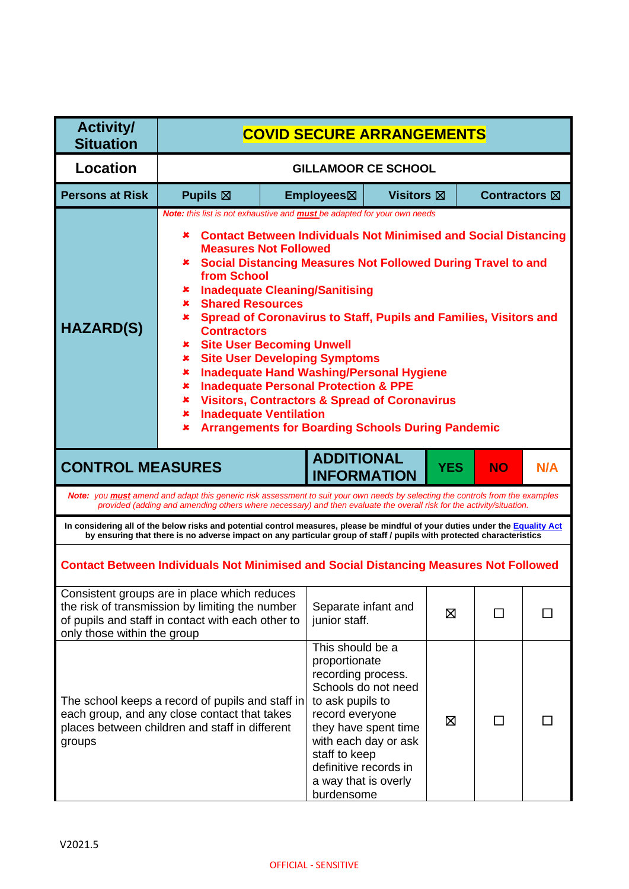| <b>Activity/</b><br><b>Situation</b> | <b>COVID SECURE ARRANGEMENTS</b>                                                                                                                                                                                                                                                                                                                                                                                                                                                                                                                                                                                                                                                                                                                                                                                                                                            |                            |                                                                                                                                                                                                                                                       |                      |            |                      |     |
|--------------------------------------|-----------------------------------------------------------------------------------------------------------------------------------------------------------------------------------------------------------------------------------------------------------------------------------------------------------------------------------------------------------------------------------------------------------------------------------------------------------------------------------------------------------------------------------------------------------------------------------------------------------------------------------------------------------------------------------------------------------------------------------------------------------------------------------------------------------------------------------------------------------------------------|----------------------------|-------------------------------------------------------------------------------------------------------------------------------------------------------------------------------------------------------------------------------------------------------|----------------------|------------|----------------------|-----|
| Location                             |                                                                                                                                                                                                                                                                                                                                                                                                                                                                                                                                                                                                                                                                                                                                                                                                                                                                             | <b>GILLAMOOR CE SCHOOL</b> |                                                                                                                                                                                                                                                       |                      |            |                      |     |
| <b>Persons at Risk</b>               | Pupils $\boxtimes$                                                                                                                                                                                                                                                                                                                                                                                                                                                                                                                                                                                                                                                                                                                                                                                                                                                          |                            | Employees⊠                                                                                                                                                                                                                                            | Visitors $\boxtimes$ |            | <b>Contractors</b> ⊠ |     |
| <b>HAZARD(S)</b>                     | Note: this list is not exhaustive and <b>must</b> be adapted for your own needs<br><b>*</b> Contact Between Individuals Not Minimised and Social Distancing<br><b>Measures Not Followed</b><br><b>* Social Distancing Measures Not Followed During Travel to and</b><br>from School<br><b>*</b> Inadequate Cleaning/Sanitising<br><b>Shared Resources</b><br>$\mathbf x$<br>Spread of Coronavirus to Staff, Pupils and Families, Visitors and<br>$\mathbf{x}$<br><b>Contractors</b><br><b>Site User Becoming Unwell</b><br>$\mathbf x$<br><b>Site User Developing Symptoms</b><br>×<br><b>Inadequate Hand Washing/Personal Hygiene</b><br>×<br><b>Inadequate Personal Protection &amp; PPE</b><br>×<br><b>Visitors, Contractors &amp; Spread of Coronavirus</b><br>×<br><b>Inadequate Ventilation</b><br>×<br><b>Arrangements for Boarding Schools During Pandemic</b><br>x |                            |                                                                                                                                                                                                                                                       |                      |            |                      |     |
| <b>CONTROL MEASURES</b>              |                                                                                                                                                                                                                                                                                                                                                                                                                                                                                                                                                                                                                                                                                                                                                                                                                                                                             |                            | <b>ADDITIONAL</b><br><b>INFORMATION</b>                                                                                                                                                                                                               |                      | <b>YES</b> | <b>NO</b>            | N/A |
|                                      | Note: you <b>must</b> amend and adapt this generic risk assessment to suit your own needs by selecting the controls from the examples<br>provided (adding and amending others where necessary) and then evaluate the overall risk for the activity/situation.                                                                                                                                                                                                                                                                                                                                                                                                                                                                                                                                                                                                               |                            |                                                                                                                                                                                                                                                       |                      |            |                      |     |
|                                      | In considering all of the below risks and potential control measures, please be mindful of your duties under the Equality Act<br>by ensuring that there is no adverse impact on any particular group of staff / pupils with protected characteristics                                                                                                                                                                                                                                                                                                                                                                                                                                                                                                                                                                                                                       |                            |                                                                                                                                                                                                                                                       |                      |            |                      |     |
|                                      | <b>Contact Between Individuals Not Minimised and Social Distancing Measures Not Followed</b>                                                                                                                                                                                                                                                                                                                                                                                                                                                                                                                                                                                                                                                                                                                                                                                |                            |                                                                                                                                                                                                                                                       |                      |            |                      |     |
| only those within the group          | Consistent groups are in place which reduces<br>the risk of transmission by limiting the number<br>of pupils and staff in contact with each other to                                                                                                                                                                                                                                                                                                                                                                                                                                                                                                                                                                                                                                                                                                                        |                            | Separate infant and<br>junior staff.                                                                                                                                                                                                                  |                      | ⊠          | ΙI                   |     |
| groups                               | The school keeps a record of pupils and staff in<br>each group, and any close contact that takes<br>places between children and staff in different                                                                                                                                                                                                                                                                                                                                                                                                                                                                                                                                                                                                                                                                                                                          |                            | This should be a<br>proportionate<br>recording process.<br>Schools do not need<br>to ask pupils to<br>record everyone<br>they have spent time<br>with each day or ask<br>staff to keep<br>definitive records in<br>a way that is overly<br>burdensome |                      | ⊠          | ΙI                   |     |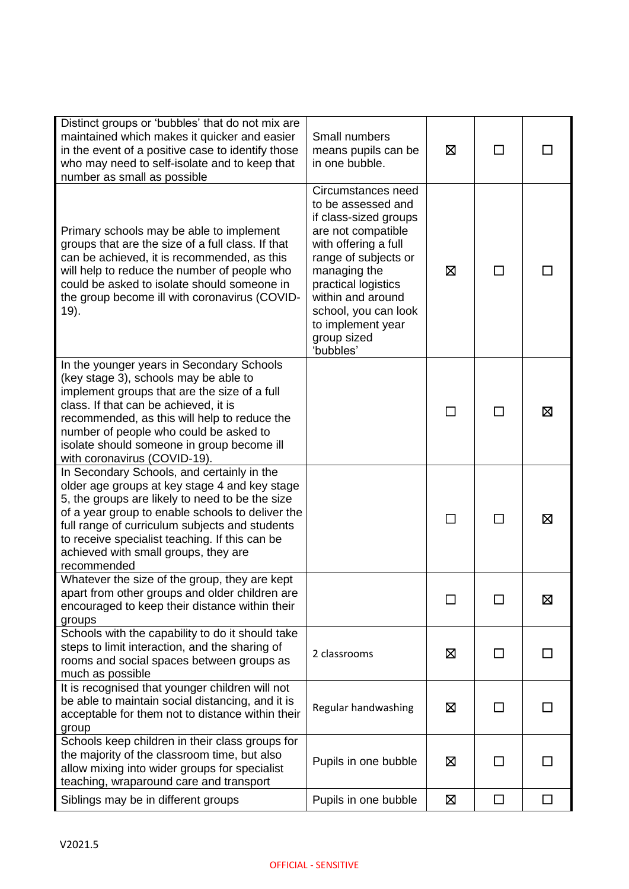| Distinct groups or 'bubbles' that do not mix are<br>maintained which makes it quicker and easier<br>in the event of a positive case to identify those<br>who may need to self-isolate and to keep that<br>number as small as possible                                                                                                                         | Small numbers<br>means pupils can be<br>in one bubble.                                                                                                                                                                                                                       | ⊠ | П            | ΙI |
|---------------------------------------------------------------------------------------------------------------------------------------------------------------------------------------------------------------------------------------------------------------------------------------------------------------------------------------------------------------|------------------------------------------------------------------------------------------------------------------------------------------------------------------------------------------------------------------------------------------------------------------------------|---|--------------|----|
| Primary schools may be able to implement<br>groups that are the size of a full class. If that<br>can be achieved, it is recommended, as this<br>will help to reduce the number of people who<br>could be asked to isolate should someone in<br>the group become ill with coronavirus (COVID-<br>19).                                                          | Circumstances need<br>to be assessed and<br>if class-sized groups<br>are not compatible<br>with offering a full<br>range of subjects or<br>managing the<br>practical logistics<br>within and around<br>school, you can look<br>to implement year<br>group sized<br>'bubbles' | ⊠ | П            |    |
| In the younger years in Secondary Schools<br>(key stage 3), schools may be able to<br>implement groups that are the size of a full<br>class. If that can be achieved, it is<br>recommended, as this will help to reduce the<br>number of people who could be asked to<br>isolate should someone in group become ill<br>with coronavirus (COVID-19).           |                                                                                                                                                                                                                                                                              |   |              | ⊠  |
| In Secondary Schools, and certainly in the<br>older age groups at key stage 4 and key stage<br>5, the groups are likely to need to be the size<br>of a year group to enable schools to deliver the<br>full range of curriculum subjects and students<br>to receive specialist teaching. If this can be<br>achieved with small groups, they are<br>recommended |                                                                                                                                                                                                                                                                              |   |              | 区  |
| Whatever the size of the group, they are kept<br>apart from other groups and older children are<br>encouraged to keep their distance within their<br>groups                                                                                                                                                                                                   |                                                                                                                                                                                                                                                                              | П | П            | 区  |
| Schools with the capability to do it should take<br>steps to limit interaction, and the sharing of<br>rooms and social spaces between groups as<br>much as possible                                                                                                                                                                                           | 2 classrooms                                                                                                                                                                                                                                                                 | ⊠ | $\mathsf{L}$ |    |
| It is recognised that younger children will not<br>be able to maintain social distancing, and it is<br>acceptable for them not to distance within their<br>group                                                                                                                                                                                              | Regular handwashing                                                                                                                                                                                                                                                          | ⊠ | П            | П  |
| Schools keep children in their class groups for<br>the majority of the classroom time, but also<br>allow mixing into wider groups for specialist<br>teaching, wraparound care and transport                                                                                                                                                                   | Pupils in one bubble                                                                                                                                                                                                                                                         | ⊠ | ΙI           |    |
| Siblings may be in different groups                                                                                                                                                                                                                                                                                                                           | Pupils in one bubble                                                                                                                                                                                                                                                         | Ø | П            |    |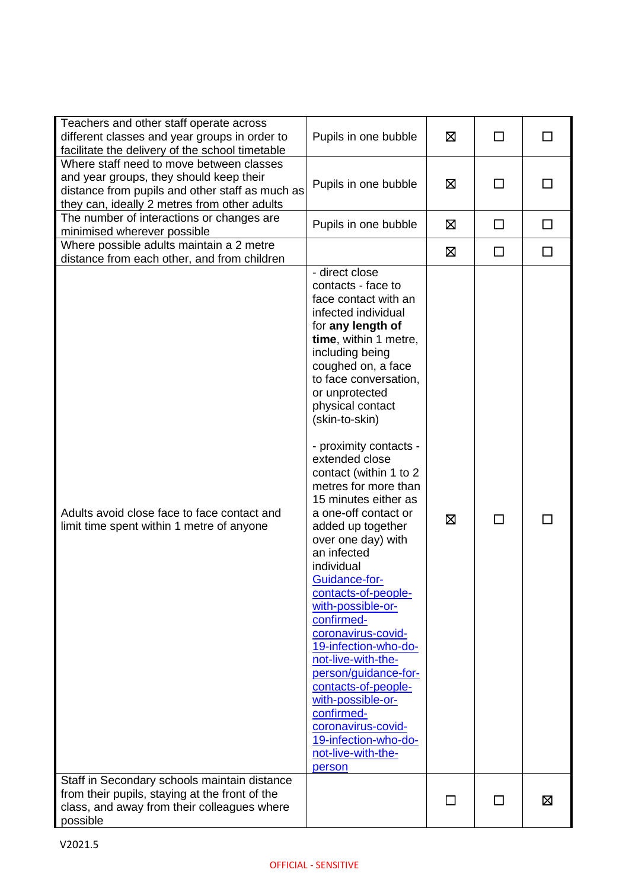| Teachers and other staff operate across<br>different classes and year groups in order to<br>facilitate the delivery of the school timetable                                            | Pupils in one bubble                                                                                                                                                                                                                                                                                                                                                                                                                                                                                                                                                                                                                                                                                                                                                                             | ⊠           | П      |        |
|----------------------------------------------------------------------------------------------------------------------------------------------------------------------------------------|--------------------------------------------------------------------------------------------------------------------------------------------------------------------------------------------------------------------------------------------------------------------------------------------------------------------------------------------------------------------------------------------------------------------------------------------------------------------------------------------------------------------------------------------------------------------------------------------------------------------------------------------------------------------------------------------------------------------------------------------------------------------------------------------------|-------------|--------|--------|
| Where staff need to move between classes<br>and year groups, they should keep their<br>distance from pupils and other staff as much as<br>they can, ideally 2 metres from other adults | Pupils in one bubble                                                                                                                                                                                                                                                                                                                                                                                                                                                                                                                                                                                                                                                                                                                                                                             | ⊠           | $\Box$ |        |
| The number of interactions or changes are<br>minimised wherever possible                                                                                                               | Pupils in one bubble                                                                                                                                                                                                                                                                                                                                                                                                                                                                                                                                                                                                                                                                                                                                                                             | $\boxtimes$ | $\Box$ | $\Box$ |
| Where possible adults maintain a 2 metre<br>distance from each other, and from children                                                                                                |                                                                                                                                                                                                                                                                                                                                                                                                                                                                                                                                                                                                                                                                                                                                                                                                  | ⊠           | $\Box$ | П      |
| Adults avoid close face to face contact and<br>limit time spent within 1 metre of anyone                                                                                               | - direct close<br>contacts - face to<br>face contact with an<br>infected individual<br>for any length of<br>time, within 1 metre,<br>including being<br>coughed on, a face<br>to face conversation,<br>or unprotected<br>physical contact<br>(skin-to-skin)<br>- proximity contacts -<br>extended close<br>contact (within 1 to 2<br>metres for more than<br>15 minutes either as<br>a one-off contact or<br>added up together<br>over one day) with<br>an infected<br>individual<br>Guidance-for-<br>contacts-of-people-<br>with-possible-or-<br>confirmed-<br>coronavirus-covid-<br>19-infection-who-do-<br>not-live-with-the-<br>person/guidance-for-<br>contacts-of-people-<br>with-possible-or-<br>confirmed-<br>coronavirus-covid-<br>19-infection-who-do-<br>not-live-with-the-<br>person | ⊠           | П      |        |
| Staff in Secondary schools maintain distance<br>from their pupils, staying at the front of the<br>class, and away from their colleagues where<br>possible                              |                                                                                                                                                                                                                                                                                                                                                                                                                                                                                                                                                                                                                                                                                                                                                                                                  | П           | □      | ⊠      |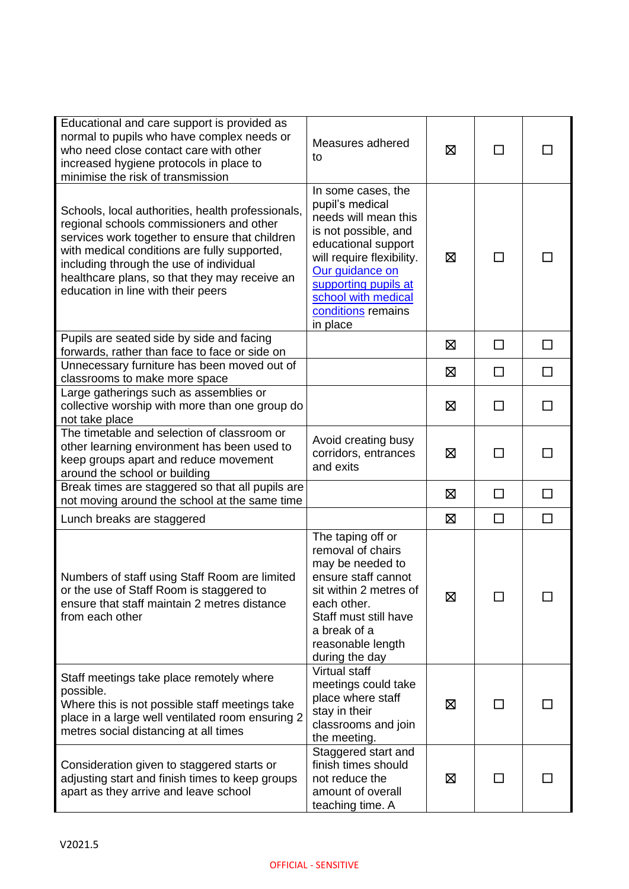| Educational and care support is provided as<br>normal to pupils who have complex needs or<br>who need close contact care with other<br>increased hygiene protocols in place to<br>minimise the risk of transmission                                                                                                               | Measures adhered<br>to                                                                                                                                                                                                                        | 区 | П            |        |
|-----------------------------------------------------------------------------------------------------------------------------------------------------------------------------------------------------------------------------------------------------------------------------------------------------------------------------------|-----------------------------------------------------------------------------------------------------------------------------------------------------------------------------------------------------------------------------------------------|---|--------------|--------|
| Schools, local authorities, health professionals,<br>regional schools commissioners and other<br>services work together to ensure that children<br>with medical conditions are fully supported,<br>including through the use of individual<br>healthcare plans, so that they may receive an<br>education in line with their peers | In some cases, the<br>pupil's medical<br>needs will mean this<br>is not possible, and<br>educational support<br>will require flexibility.<br>Our guidance on<br>supporting pupils at<br>school with medical<br>conditions remains<br>in place | 区 | $\mathsf{L}$ |        |
| Pupils are seated side by side and facing<br>forwards, rather than face to face or side on                                                                                                                                                                                                                                        |                                                                                                                                                                                                                                               | 区 | □            | $\Box$ |
| Unnecessary furniture has been moved out of<br>classrooms to make more space                                                                                                                                                                                                                                                      |                                                                                                                                                                                                                                               | ⊠ | □            | $\Box$ |
| Large gatherings such as assemblies or<br>collective worship with more than one group do<br>not take place                                                                                                                                                                                                                        |                                                                                                                                                                                                                                               | 区 |              |        |
| The timetable and selection of classroom or<br>other learning environment has been used to<br>keep groups apart and reduce movement<br>around the school or building                                                                                                                                                              | Avoid creating busy<br>corridors, entrances<br>and exits                                                                                                                                                                                      | ⊠ | ΙI           | П      |
| Break times are staggered so that all pupils are<br>not moving around the school at the same time                                                                                                                                                                                                                                 |                                                                                                                                                                                                                                               | 区 | $\Box$       | $\Box$ |
| Lunch breaks are staggered                                                                                                                                                                                                                                                                                                        |                                                                                                                                                                                                                                               | ⊠ | $\Box$       | $\Box$ |
| Numbers of staff using Staff Room are limited<br>or the use of Staff Room is staggered to<br>ensure that staff maintain 2 metres distance<br>from each other                                                                                                                                                                      | The taping off or<br>removal of chairs<br>may be needed to<br>ensure staff cannot<br>sit within 2 metres of<br>each other.<br>Staff must still have<br>a break of a<br>reasonable length<br>during the day                                    | ⊠ |              |        |
| Staff meetings take place remotely where<br>possible.<br>Where this is not possible staff meetings take<br>place in a large well ventilated room ensuring 2<br>metres social distancing at all times                                                                                                                              | Virtual staff<br>meetings could take<br>place where staff<br>stay in their<br>classrooms and join<br>the meeting.                                                                                                                             | 区 |              |        |
| Consideration given to staggered starts or<br>adjusting start and finish times to keep groups<br>apart as they arrive and leave school                                                                                                                                                                                            | Staggered start and<br>finish times should<br>not reduce the<br>amount of overall<br>teaching time. A                                                                                                                                         | ⊠ |              |        |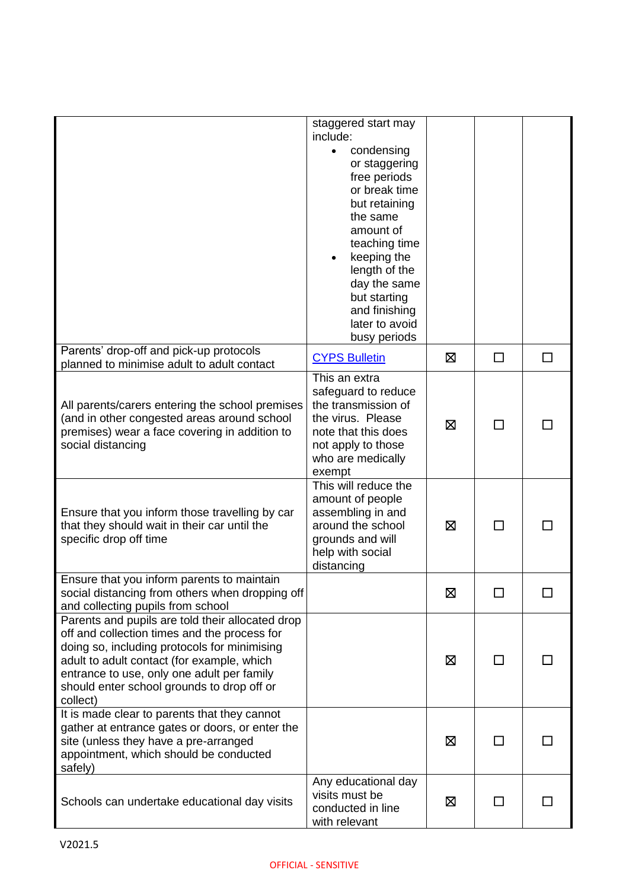|                                                                                                                                                                                                                                                                                                        | staggered start may<br>include:<br>condensing<br>$\bullet$<br>or staggering<br>free periods<br>or break time<br>but retaining<br>the same<br>amount of<br>teaching time<br>keeping the<br>length of the<br>day the same<br>but starting<br>and finishing<br>later to avoid<br>busy periods |   |              |        |
|--------------------------------------------------------------------------------------------------------------------------------------------------------------------------------------------------------------------------------------------------------------------------------------------------------|--------------------------------------------------------------------------------------------------------------------------------------------------------------------------------------------------------------------------------------------------------------------------------------------|---|--------------|--------|
| Parents' drop-off and pick-up protocols<br>planned to minimise adult to adult contact                                                                                                                                                                                                                  | <b>CYPS Bulletin</b>                                                                                                                                                                                                                                                                       | ⊠ | $\Box$       | $\Box$ |
| All parents/carers entering the school premises<br>(and in other congested areas around school<br>premises) wear a face covering in addition to<br>social distancing                                                                                                                                   | This an extra<br>safeguard to reduce<br>the transmission of<br>the virus. Please<br>note that this does<br>not apply to those<br>who are medically<br>exempt                                                                                                                               | ⊠ | $\Box$       |        |
| Ensure that you inform those travelling by car<br>that they should wait in their car until the<br>specific drop off time                                                                                                                                                                               | This will reduce the<br>amount of people<br>assembling in and<br>around the school<br>grounds and will<br>help with social<br>distancing                                                                                                                                                   | ⊠ | □            |        |
| Ensure that you inform parents to maintain<br>social distancing from others when dropping off<br>and collecting pupils from school                                                                                                                                                                     |                                                                                                                                                                                                                                                                                            | 区 |              |        |
| Parents and pupils are told their allocated drop<br>off and collection times and the process for<br>doing so, including protocols for minimising<br>adult to adult contact (for example, which<br>entrance to use, only one adult per family<br>should enter school grounds to drop off or<br>collect) |                                                                                                                                                                                                                                                                                            | ⊠ | ΙI           |        |
| It is made clear to parents that they cannot<br>gather at entrance gates or doors, or enter the<br>site (unless they have a pre-arranged<br>appointment, which should be conducted<br>safely)                                                                                                          |                                                                                                                                                                                                                                                                                            | ⊠ | $\mathsf{L}$ |        |
| Schools can undertake educational day visits                                                                                                                                                                                                                                                           | Any educational day<br>visits must be<br>conducted in line<br>with relevant                                                                                                                                                                                                                | ⊠ | $\mathsf{L}$ |        |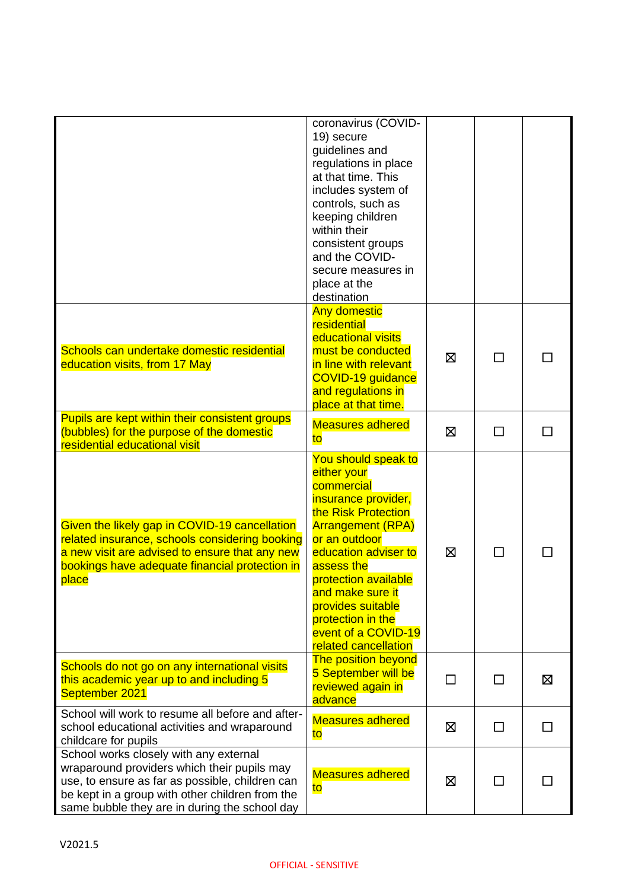|                                                                                                                                                                                                                                              | coronavirus (COVID-<br>19) secure<br>guidelines and<br>regulations in place<br>at that time. This<br>includes system of<br>controls, such as<br>keeping children<br>within their<br>consistent groups<br>and the COVID-<br>secure measures in<br>place at the<br>destination                                                  |    |              |   |
|----------------------------------------------------------------------------------------------------------------------------------------------------------------------------------------------------------------------------------------------|-------------------------------------------------------------------------------------------------------------------------------------------------------------------------------------------------------------------------------------------------------------------------------------------------------------------------------|----|--------------|---|
| Schools can undertake domestic residential<br>education visits, from 17 May                                                                                                                                                                  | <b>Any domestic</b><br>residential<br>educational visits<br>must be conducted<br>in line with relevant<br>COVID-19 guidance<br>and regulations in<br>place at that time.                                                                                                                                                      | ⊠  | П            |   |
| Pupils are kept within their consistent groups<br>(bubbles) for the purpose of the domestic<br>residential educational visit                                                                                                                 | <b>Measures adhered</b><br>to                                                                                                                                                                                                                                                                                                 | ⊠  | П            |   |
| Given the likely gap in COVID-19 cancellation<br>related insurance, schools considering booking<br>a new visit are advised to ensure that any new<br>bookings have adequate financial protection in<br>place                                 | You should speak to<br>either your<br>commercial<br>insurance provider,<br>the Risk Protection<br><b>Arrangement (RPA)</b><br>or an outdoor<br>education adviser to<br>assess the<br>protection available<br>and make sure it<br>provides suitable<br>protection in the<br>event of a COVID-19<br><b>related cancellation</b> | ⊠  | $\mathsf{L}$ |   |
| Schools do not go on any international visits<br>this academic year up to and including 5<br>September 2021                                                                                                                                  | <b>The position beyond</b><br>5 September will be<br>reviewed again in<br>advance                                                                                                                                                                                                                                             | ΙI | $\mathbf{I}$ | Σ |
| School will work to resume all before and after-<br>school educational activities and wraparound<br>childcare for pupils                                                                                                                     | <b>Measures adhered</b><br>to                                                                                                                                                                                                                                                                                                 | Ø  | П            | П |
| School works closely with any external<br>wraparound providers which their pupils may<br>use, to ensure as far as possible, children can<br>be kept in a group with other children from the<br>same bubble they are in during the school day | <b>Measures adhered</b><br>to                                                                                                                                                                                                                                                                                                 | ⊠  |              |   |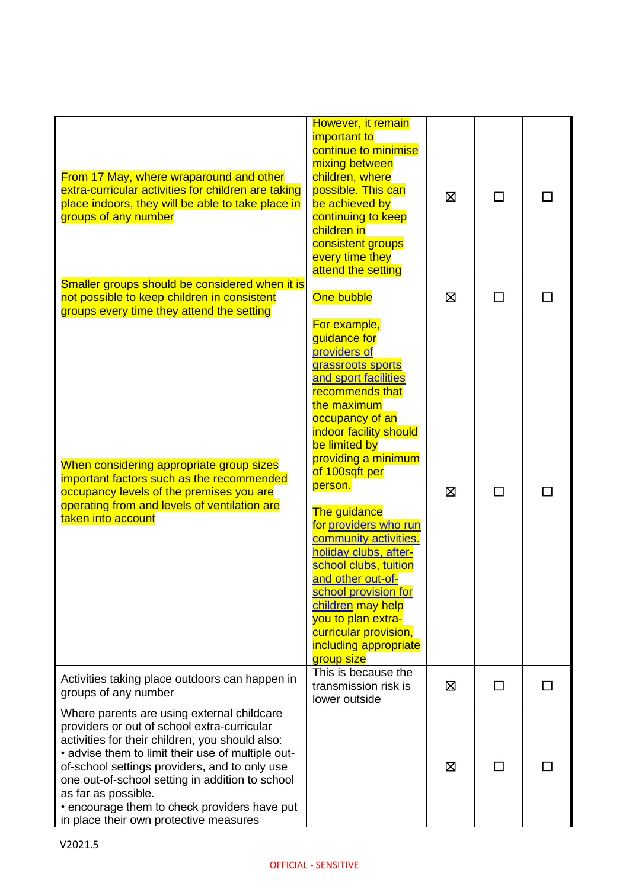| From 17 May, where wraparound and other<br>extra-curricular activities for children are taking<br>place indoors, they will be able to take place in<br>groups of any number                                                                                                                                                                                                                                            | However, it remain<br>important to<br>continue to minimise<br>mixing between<br>children, where<br>possible. This can<br>be achieved by<br>continuing to keep<br>children in<br>consistent groups<br>every time they<br>attend the setting                                                                                                                                                                                                                                                                                | ⊠ | П |  |
|------------------------------------------------------------------------------------------------------------------------------------------------------------------------------------------------------------------------------------------------------------------------------------------------------------------------------------------------------------------------------------------------------------------------|---------------------------------------------------------------------------------------------------------------------------------------------------------------------------------------------------------------------------------------------------------------------------------------------------------------------------------------------------------------------------------------------------------------------------------------------------------------------------------------------------------------------------|---|---|--|
| Smaller groups should be considered when it is<br>not possible to keep children in consistent<br>groups every time they attend the setting                                                                                                                                                                                                                                                                             | One bubble                                                                                                                                                                                                                                                                                                                                                                                                                                                                                                                | ⊠ | П |  |
| When considering appropriate group sizes<br>important factors such as the recommended<br>occupancy levels of the premises you are<br>operating from and levels of ventilation are<br>taken into account                                                                                                                                                                                                                | For example,<br>quidance for<br>providers of<br>grassroots sports<br>and sport facilities<br>recommends that<br>the maximum<br>occupancy of an<br>indoor facility should<br>be limited by<br>providing a minimum<br>of 100sqft per<br>person.<br>The guidance<br>for providers who run<br>community activities.<br>holiday clubs, after-<br>school clubs, tuition<br>and other out-of-<br>school provision for<br>children may help<br>you to plan extra-<br>curricular provision,<br>including appropriate<br>group size | 区 | П |  |
| Activities taking place outdoors can happen in<br>groups of any number                                                                                                                                                                                                                                                                                                                                                 | This is because the<br>transmission risk is<br>lower outside                                                                                                                                                                                                                                                                                                                                                                                                                                                              | ⊠ | П |  |
| Where parents are using external childcare<br>providers or out of school extra-curricular<br>activities for their children, you should also:<br>• advise them to limit their use of multiple out-<br>of-school settings providers, and to only use<br>one out-of-school setting in addition to school<br>as far as possible.<br>• encourage them to check providers have put<br>in place their own protective measures |                                                                                                                                                                                                                                                                                                                                                                                                                                                                                                                           | ⊠ |   |  |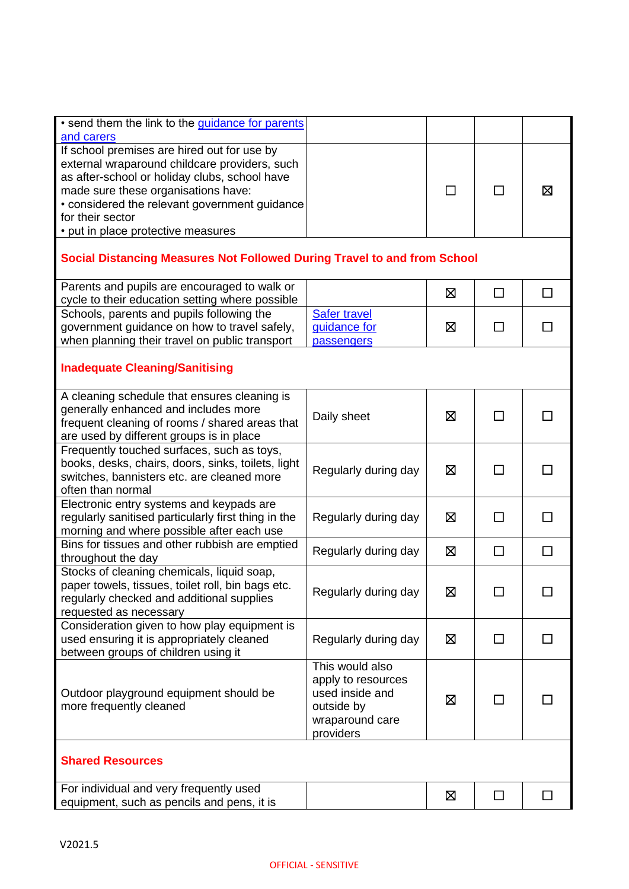| . send them the link to the guidance for parents<br>and carers                                                                                                                                                                                                                                  |                                                                                                        |   |        |              |  |
|-------------------------------------------------------------------------------------------------------------------------------------------------------------------------------------------------------------------------------------------------------------------------------------------------|--------------------------------------------------------------------------------------------------------|---|--------|--------------|--|
| If school premises are hired out for use by<br>external wraparound childcare providers, such<br>as after-school or holiday clubs, school have<br>made sure these organisations have:<br>• considered the relevant government guidance<br>for their sector<br>• put in place protective measures |                                                                                                        | П | П      | ⊠            |  |
| Social Distancing Measures Not Followed During Travel to and from School                                                                                                                                                                                                                        |                                                                                                        |   |        |              |  |
| Parents and pupils are encouraged to walk or<br>cycle to their education setting where possible                                                                                                                                                                                                 |                                                                                                        | ⊠ | $\Box$ | $\Box$       |  |
| Schools, parents and pupils following the<br>government guidance on how to travel safely,<br>when planning their travel on public transport                                                                                                                                                     | <b>Safer travel</b><br>quidance for<br>passengers                                                      | 区 | ΙI     |              |  |
| <b>Inadequate Cleaning/Sanitising</b>                                                                                                                                                                                                                                                           |                                                                                                        |   |        |              |  |
| A cleaning schedule that ensures cleaning is<br>generally enhanced and includes more<br>frequent cleaning of rooms / shared areas that<br>are used by different groups is in place                                                                                                              | Daily sheet                                                                                            | 区 |        |              |  |
| Frequently touched surfaces, such as toys,<br>books, desks, chairs, doors, sinks, toilets, light<br>switches, bannisters etc. are cleaned more<br>often than normal                                                                                                                             | Regularly during day                                                                                   | ⊠ | П      | $\mathbf{I}$ |  |
| Electronic entry systems and keypads are<br>regularly sanitised particularly first thing in the<br>morning and where possible after each use                                                                                                                                                    | Regularly during day                                                                                   | ⊠ |        |              |  |
| Bins for tissues and other rubbish are emptied<br>throughout the day                                                                                                                                                                                                                            | Regularly during day                                                                                   | ⊠ | $\Box$ | $\Box$       |  |
| Stocks of cleaning chemicals, liquid soap,<br>paper towels, tissues, toilet roll, bin bags etc.<br>regularly checked and additional supplies<br>requested as necessary                                                                                                                          | Regularly during day                                                                                   | 区 | П      |              |  |
| Consideration given to how play equipment is<br>used ensuring it is appropriately cleaned<br>between groups of children using it                                                                                                                                                                | Regularly during day                                                                                   | ⊠ | $\Box$ | $\mathsf{L}$ |  |
| Outdoor playground equipment should be<br>more frequently cleaned                                                                                                                                                                                                                               | This would also<br>apply to resources<br>used inside and<br>outside by<br>wraparound care<br>providers | ⊠ |        |              |  |
| <b>Shared Resources</b>                                                                                                                                                                                                                                                                         |                                                                                                        |   |        |              |  |
| For individual and very frequently used<br>equipment, such as pencils and pens, it is                                                                                                                                                                                                           |                                                                                                        | 区 | $\Box$ |              |  |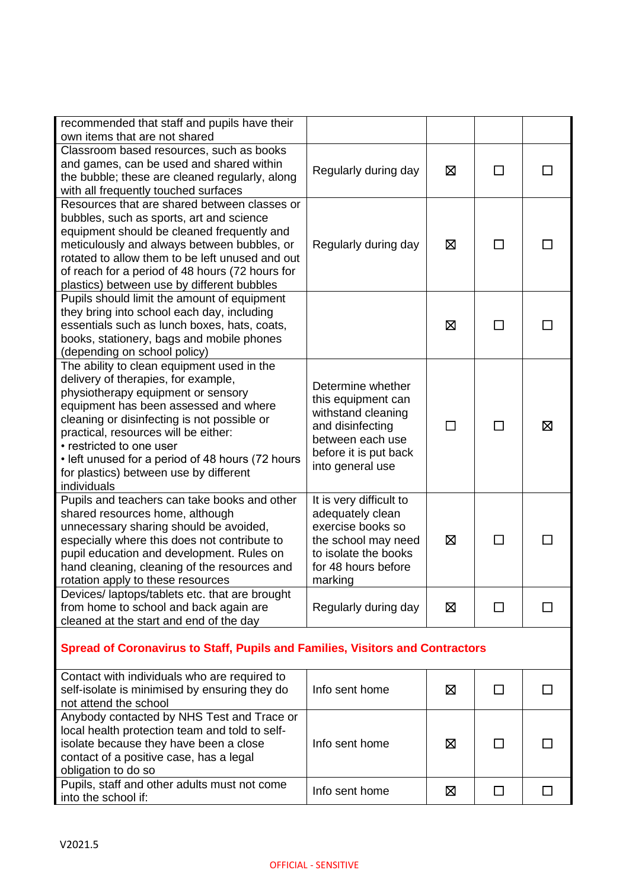| recommended that staff and pupils have their<br>own items that are not shared                                                                                                                                                                                                                                                                                                                    |                                                                                                                                                    |   |              |   |  |
|--------------------------------------------------------------------------------------------------------------------------------------------------------------------------------------------------------------------------------------------------------------------------------------------------------------------------------------------------------------------------------------------------|----------------------------------------------------------------------------------------------------------------------------------------------------|---|--------------|---|--|
| Classroom based resources, such as books<br>and games, can be used and shared within<br>the bubble; these are cleaned regularly, along<br>with all frequently touched surfaces                                                                                                                                                                                                                   | Regularly during day                                                                                                                               | ⊠ | П            |   |  |
| Resources that are shared between classes or<br>bubbles, such as sports, art and science<br>equipment should be cleaned frequently and<br>meticulously and always between bubbles, or<br>rotated to allow them to be left unused and out<br>of reach for a period of 48 hours (72 hours for<br>plastics) between use by different bubbles                                                        | Regularly during day                                                                                                                               | ⊠ | ΙI           |   |  |
| Pupils should limit the amount of equipment<br>they bring into school each day, including<br>essentials such as lunch boxes, hats, coats,<br>books, stationery, bags and mobile phones<br>(depending on school policy)                                                                                                                                                                           |                                                                                                                                                    | ⊠ |              |   |  |
| The ability to clean equipment used in the<br>delivery of therapies, for example,<br>physiotherapy equipment or sensory<br>equipment has been assessed and where<br>cleaning or disinfecting is not possible or<br>practical, resources will be either:<br>• restricted to one user<br>• left unused for a period of 48 hours (72 hours<br>for plastics) between use by different<br>individuals | Determine whether<br>this equipment can<br>withstand cleaning<br>and disinfecting<br>between each use<br>before it is put back<br>into general use | П | П            | 区 |  |
| Pupils and teachers can take books and other<br>shared resources home, although<br>unnecessary sharing should be avoided,<br>especially where this does not contribute to<br>pupil education and development. Rules on<br>hand cleaning, cleaning of the resources and<br>rotation apply to these resources                                                                                      | It is very difficult to<br>adequately clean<br>exercise books so<br>the school may need<br>to isolate the books<br>for 48 hours before<br>marking  | ⊠ | □            |   |  |
| Devices/laptops/tablets etc. that are brought<br>from home to school and back again are<br>cleaned at the start and end of the day                                                                                                                                                                                                                                                               | Regularly during day                                                                                                                               | ⊠ | $\mathsf{L}$ |   |  |
| <b>Spread of Coronavirus to Staff, Pupils and Families, Visitors and Contractors</b>                                                                                                                                                                                                                                                                                                             |                                                                                                                                                    |   |              |   |  |
| Contact with individuals who are required to<br>self-isolate is minimised by ensuring they do<br>not attend the school                                                                                                                                                                                                                                                                           | Info sent home                                                                                                                                     | ⊠ | $\Box$       |   |  |

| Info sent home | ⊠ |  |
|----------------|---|--|
|                |   |  |
| Info sent home | ⊠ |  |
|                |   |  |
| Info sent home | ⊠ |  |
|                |   |  |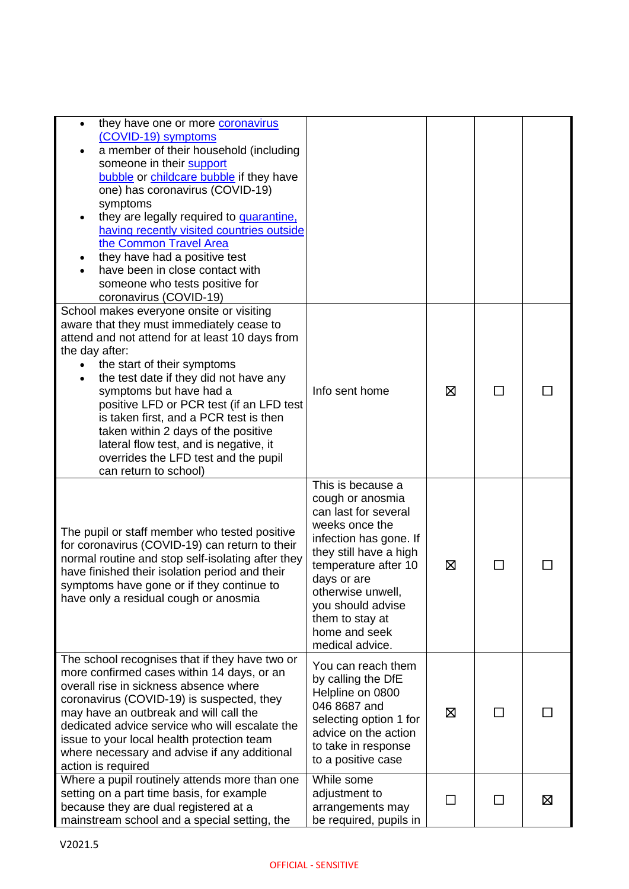| they have one or more coronavirus<br>$\bullet$<br>(COVID-19) symptoms<br>a member of their household (including<br>someone in their support<br>bubble or childcare bubble if they have<br>one) has coronavirus (COVID-19)<br>symptoms<br>they are legally required to quarantine,<br>having recently visited countries outside<br>the Common Travel Area<br>they have had a positive test<br>have been in close contact with<br>someone who tests positive for<br>coronavirus (COVID-19)               |                                                                                                                                                                                                                                                                             |                |              |   |
|--------------------------------------------------------------------------------------------------------------------------------------------------------------------------------------------------------------------------------------------------------------------------------------------------------------------------------------------------------------------------------------------------------------------------------------------------------------------------------------------------------|-----------------------------------------------------------------------------------------------------------------------------------------------------------------------------------------------------------------------------------------------------------------------------|----------------|--------------|---|
| School makes everyone onsite or visiting<br>aware that they must immediately cease to<br>attend and not attend for at least 10 days from<br>the day after:<br>the start of their symptoms<br>the test date if they did not have any<br>symptoms but have had a<br>positive LFD or PCR test (if an LFD test<br>is taken first, and a PCR test is then<br>taken within 2 days of the positive<br>lateral flow test, and is negative, it<br>overrides the LFD test and the pupil<br>can return to school) | Info sent home                                                                                                                                                                                                                                                              | ⊠              | $\mathsf{L}$ |   |
| The pupil or staff member who tested positive<br>for coronavirus (COVID-19) can return to their<br>normal routine and stop self-isolating after they<br>have finished their isolation period and their<br>symptoms have gone or if they continue to<br>have only a residual cough or anosmia                                                                                                                                                                                                           | This is because a<br>cough or anosmia<br>can last for several<br>weeks once the<br>infection has gone. If<br>they still have a high<br>temperature after 10<br>days or are<br>otherwise unwell,<br>you should advise<br>them to stay at<br>home and seek<br>medical advice. | ⊠              |              |   |
| The school recognises that if they have two or<br>more confirmed cases within 14 days, or an<br>overall rise in sickness absence where<br>coronavirus (COVID-19) is suspected, they<br>may have an outbreak and will call the<br>dedicated advice service who will escalate the<br>issue to your local health protection team<br>where necessary and advise if any additional<br>action is required                                                                                                    | You can reach them<br>by calling the DfE<br>Helpline on 0800<br>046 8687 and<br>selecting option 1 for<br>advice on the action<br>to take in response<br>to a positive case                                                                                                 | ⊠              | П            |   |
| Where a pupil routinely attends more than one<br>setting on a part time basis, for example<br>because they are dual registered at a<br>mainstream school and a special setting, the                                                                                                                                                                                                                                                                                                                    | While some<br>adjustment to<br>arrangements may<br>be required, pupils in                                                                                                                                                                                                   | $\blacksquare$ | П            | ⊠ |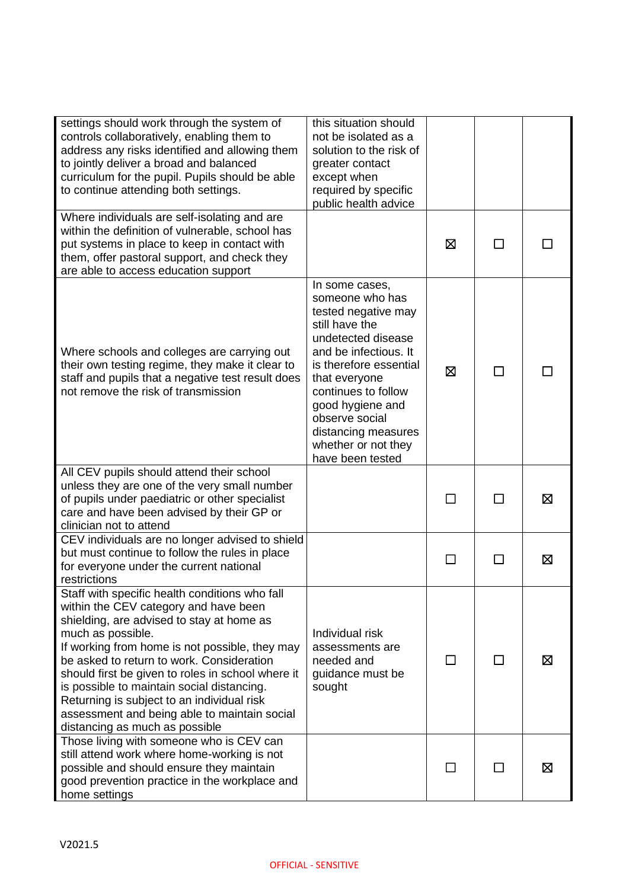| settings should work through the system of<br>controls collaboratively, enabling them to<br>address any risks identified and allowing them<br>to jointly deliver a broad and balanced<br>curriculum for the pupil. Pupils should be able<br>to continue attending both settings.                                                                                                                                                                                                            | this situation should<br>not be isolated as a<br>solution to the risk of<br>greater contact<br>except when<br>required by specific<br>public health advice                                                                                                                                          |         |   |
|---------------------------------------------------------------------------------------------------------------------------------------------------------------------------------------------------------------------------------------------------------------------------------------------------------------------------------------------------------------------------------------------------------------------------------------------------------------------------------------------|-----------------------------------------------------------------------------------------------------------------------------------------------------------------------------------------------------------------------------------------------------------------------------------------------------|---------|---|
| Where individuals are self-isolating and are<br>within the definition of vulnerable, school has<br>put systems in place to keep in contact with<br>them, offer pastoral support, and check they<br>are able to access education support                                                                                                                                                                                                                                                     |                                                                                                                                                                                                                                                                                                     | ⊠       |   |
| Where schools and colleges are carrying out<br>their own testing regime, they make it clear to<br>staff and pupils that a negative test result does<br>not remove the risk of transmission                                                                                                                                                                                                                                                                                                  | In some cases,<br>someone who has<br>tested negative may<br>still have the<br>undetected disease<br>and be infectious. It<br>is therefore essential<br>that everyone<br>continues to follow<br>good hygiene and<br>observe social<br>distancing measures<br>whether or not they<br>have been tested | ⊠       |   |
| All CEV pupils should attend their school<br>unless they are one of the very small number<br>of pupils under paediatric or other specialist<br>care and have been advised by their GP or<br>clinician not to attend                                                                                                                                                                                                                                                                         |                                                                                                                                                                                                                                                                                                     |         | ⊠ |
| CEV individuals are no longer advised to shield<br>but must continue to follow the rules in place<br>for everyone under the current national<br>restrictions                                                                                                                                                                                                                                                                                                                                |                                                                                                                                                                                                                                                                                                     |         | ⊠ |
| Staff with specific health conditions who fall<br>within the CEV category and have been<br>shielding, are advised to stay at home as<br>much as possible.<br>If working from home is not possible, they may<br>be asked to return to work. Consideration<br>should first be given to roles in school where it<br>is possible to maintain social distancing.<br>Returning is subject to an individual risk<br>assessment and being able to maintain social<br>distancing as much as possible | Individual risk<br>assessments are<br>needed and<br>guidance must be<br>sought                                                                                                                                                                                                                      | $\perp$ | ⊠ |
| Those living with someone who is CEV can<br>still attend work where home-working is not<br>possible and should ensure they maintain<br>good prevention practice in the workplace and<br>home settings                                                                                                                                                                                                                                                                                       |                                                                                                                                                                                                                                                                                                     |         | ⊠ |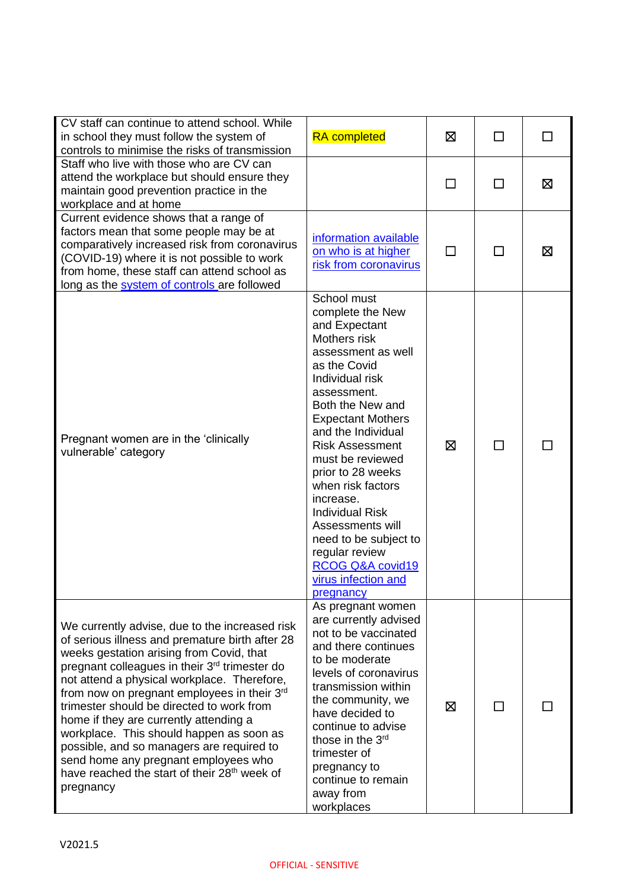| CV staff can continue to attend school. While<br>in school they must follow the system of<br>controls to minimise the risks of transmission                                                                                                                                                                                                                                                                                                                                                                                                                                                                 | <b>RA</b> completed                                                                                                                                                                                                                                                                                                                                                                                                                                                  | ⊠      | □  | $\perp$ |
|-------------------------------------------------------------------------------------------------------------------------------------------------------------------------------------------------------------------------------------------------------------------------------------------------------------------------------------------------------------------------------------------------------------------------------------------------------------------------------------------------------------------------------------------------------------------------------------------------------------|----------------------------------------------------------------------------------------------------------------------------------------------------------------------------------------------------------------------------------------------------------------------------------------------------------------------------------------------------------------------------------------------------------------------------------------------------------------------|--------|----|---------|
| Staff who live with those who are CV can<br>attend the workplace but should ensure they<br>maintain good prevention practice in the<br>workplace and at home                                                                                                                                                                                                                                                                                                                                                                                                                                                |                                                                                                                                                                                                                                                                                                                                                                                                                                                                      | П      | ΙI | ⊠       |
| Current evidence shows that a range of<br>factors mean that some people may be at<br>comparatively increased risk from coronavirus<br>(COVID-19) where it is not possible to work<br>from home, these staff can attend school as<br>long as the system of controls are followed                                                                                                                                                                                                                                                                                                                             | information available<br>on who is at higher<br>risk from coronavirus                                                                                                                                                                                                                                                                                                                                                                                                | $\Box$ | П  | ⊠       |
| Pregnant women are in the 'clinically<br>vulnerable' category                                                                                                                                                                                                                                                                                                                                                                                                                                                                                                                                               | School must<br>complete the New<br>and Expectant<br>Mothers risk<br>assessment as well<br>as the Covid<br>Individual risk<br>assessment.<br>Both the New and<br><b>Expectant Mothers</b><br>and the Individual<br><b>Risk Assessment</b><br>must be reviewed<br>prior to 28 weeks<br>when risk factors<br>increase.<br><b>Individual Risk</b><br>Assessments will<br>need to be subject to<br>regular review<br>RCOG Q&A covid19<br>virus infection and<br>pregnancy | ⊠      | П  |         |
| We currently advise, due to the increased risk<br>of serious illness and premature birth after 28<br>weeks gestation arising from Covid, that<br>pregnant colleagues in their 3 <sup>rd</sup> trimester do<br>not attend a physical workplace. Therefore,<br>from now on pregnant employees in their $3rd$<br>trimester should be directed to work from<br>home if they are currently attending a<br>workplace. This should happen as soon as<br>possible, and so managers are required to<br>send home any pregnant employees who<br>have reached the start of their 28 <sup>th</sup> week of<br>pregnancy | As pregnant women<br>are currently advised<br>not to be vaccinated<br>and there continues<br>to be moderate<br>levels of coronavirus<br>transmission within<br>the community, we<br>have decided to<br>continue to advise<br>those in the 3 <sup>rd</sup><br>trimester of<br>pregnancy to<br>continue to remain<br>away from<br>workplaces                                                                                                                           | ⊠      | ΙI |         |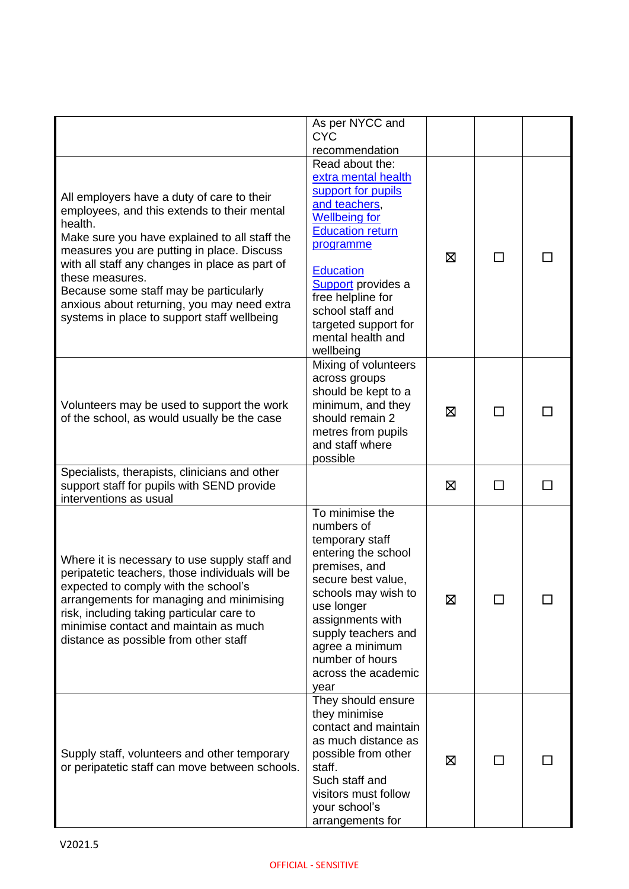|                                                                                                                                                                                                                                                                                                                                                                                                                  | As per NYCC and<br><b>CYC</b><br>recommendation                                                                                                                                                                                                                                            |   |        |  |
|------------------------------------------------------------------------------------------------------------------------------------------------------------------------------------------------------------------------------------------------------------------------------------------------------------------------------------------------------------------------------------------------------------------|--------------------------------------------------------------------------------------------------------------------------------------------------------------------------------------------------------------------------------------------------------------------------------------------|---|--------|--|
| All employers have a duty of care to their<br>employees, and this extends to their mental<br>health.<br>Make sure you have explained to all staff the<br>measures you are putting in place. Discuss<br>with all staff any changes in place as part of<br>these measures.<br>Because some staff may be particularly<br>anxious about returning, you may need extra<br>systems in place to support staff wellbeing | Read about the:<br>extra mental health<br>support for pupils<br>and teachers,<br><b>Wellbeing for</b><br><b>Education return</b><br>programme<br><b>Education</b><br>Support provides a<br>free helpline for<br>school staff and<br>targeted support for<br>mental health and<br>wellbeing | 区 | П      |  |
| Volunteers may be used to support the work<br>of the school, as would usually be the case                                                                                                                                                                                                                                                                                                                        | Mixing of volunteers<br>across groups<br>should be kept to a<br>minimum, and they<br>should remain 2<br>metres from pupils<br>and staff where<br>possible                                                                                                                                  | ⊠ |        |  |
| Specialists, therapists, clinicians and other<br>support staff for pupils with SEND provide<br>interventions as usual                                                                                                                                                                                                                                                                                            |                                                                                                                                                                                                                                                                                            | ⊠ | $\Box$ |  |
| Where it is necessary to use supply staff and<br>peripatetic teachers, those individuals will be<br>expected to comply with the school's<br>arrangements for managing and minimising<br>risk, including taking particular care to<br>minimise contact and maintain as much<br>distance as possible from other staff                                                                                              | To minimise the<br>numbers of<br>temporary staff<br>entering the school<br>premises, and<br>secure best value,<br>schools may wish to<br>use longer<br>assignments with<br>supply teachers and<br>agree a minimum<br>number of hours<br>across the academic<br>year                        | 区 |        |  |
| Supply staff, volunteers and other temporary<br>or peripatetic staff can move between schools.                                                                                                                                                                                                                                                                                                                   | They should ensure<br>they minimise<br>contact and maintain<br>as much distance as<br>possible from other<br>staff.<br>Such staff and<br>visitors must follow<br>your school's<br>arrangements for                                                                                         | ⊠ | ΙI     |  |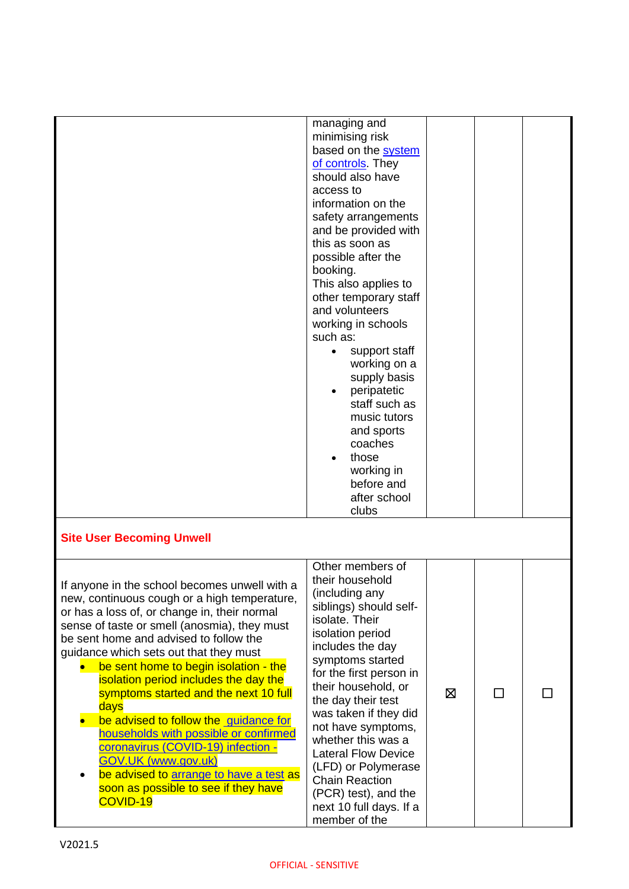|                                                                                                                                                                                                                                                                                                                                                                                                                                                                                                                                                                                                                                                                           | managing and<br>minimising risk<br>based on the system<br>of controls They<br>should also have<br>access to<br>information on the<br>safety arrangements<br>and be provided with<br>this as soon as<br>possible after the<br>booking.<br>This also applies to<br>other temporary staff<br>and volunteers<br>working in schools<br>such as:<br>support staff<br>$\bullet$<br>working on a<br>supply basis<br>peripatetic<br>staff such as<br>music tutors<br>and sports<br>coaches<br>those<br>working in<br>before and<br>after school<br>clubs |   |   |  |
|---------------------------------------------------------------------------------------------------------------------------------------------------------------------------------------------------------------------------------------------------------------------------------------------------------------------------------------------------------------------------------------------------------------------------------------------------------------------------------------------------------------------------------------------------------------------------------------------------------------------------------------------------------------------------|-------------------------------------------------------------------------------------------------------------------------------------------------------------------------------------------------------------------------------------------------------------------------------------------------------------------------------------------------------------------------------------------------------------------------------------------------------------------------------------------------------------------------------------------------|---|---|--|
| <b>Site User Becoming Unwell</b>                                                                                                                                                                                                                                                                                                                                                                                                                                                                                                                                                                                                                                          |                                                                                                                                                                                                                                                                                                                                                                                                                                                                                                                                                 |   |   |  |
| If anyone in the school becomes unwell with a<br>new, continuous cough or a high temperature,<br>or has a loss of, or change in, their normal<br>sense of taste or smell (anosmia), they must<br>be sent home and advised to follow the<br>guidance which sets out that they must<br>be sent home to begin isolation - the<br>isolation period includes the day the<br>symptoms started and the next 10 full<br>days<br>be advised to follow the guidance for<br>households with possible or confirmed<br>coronavirus (COVID-19) infection -<br><b>GOV.UK (www.gov.uk)</b><br>be advised to arrange to have a test as<br>soon as possible to see if they have<br>COVID-19 | Other members of<br>their household<br>(including any<br>siblings) should self-<br>isolate. Their<br>isolation period<br>includes the day<br>symptoms started<br>for the first person in<br>their household, or<br>the day their test<br>was taken if they did<br>not have symptoms,<br>whether this was a<br><b>Lateral Flow Device</b><br>(LFD) or Polymerase<br><b>Chain Reaction</b><br>(PCR) test), and the<br>next 10 full days. If a<br>member of the                                                                                    | ⊠ | П |  |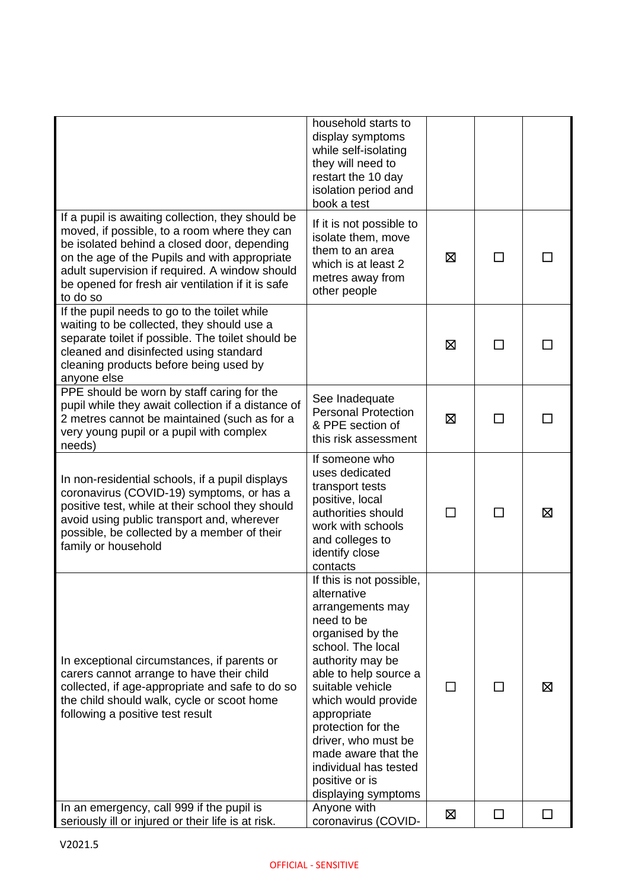|                                                                                                                                                                                                                                                                                                                      | household starts to<br>display symptoms<br>while self-isolating<br>they will need to<br>restart the 10 day<br>isolation period and<br>book a test                                                                                                                                                                                                               |   |        |    |
|----------------------------------------------------------------------------------------------------------------------------------------------------------------------------------------------------------------------------------------------------------------------------------------------------------------------|-----------------------------------------------------------------------------------------------------------------------------------------------------------------------------------------------------------------------------------------------------------------------------------------------------------------------------------------------------------------|---|--------|----|
| If a pupil is awaiting collection, they should be<br>moved, if possible, to a room where they can<br>be isolated behind a closed door, depending<br>on the age of the Pupils and with appropriate<br>adult supervision if required. A window should<br>be opened for fresh air ventilation if it is safe<br>to do so | If it is not possible to<br>isolate them, move<br>them to an area<br>which is at least 2<br>metres away from<br>other people                                                                                                                                                                                                                                    | ⊠ | ΙI     |    |
| If the pupil needs to go to the toilet while<br>waiting to be collected, they should use a<br>separate toilet if possible. The toilet should be<br>cleaned and disinfected using standard<br>cleaning products before being used by<br>anyone else                                                                   |                                                                                                                                                                                                                                                                                                                                                                 | ⊠ | ΙI     |    |
| PPE should be worn by staff caring for the<br>pupil while they await collection if a distance of<br>2 metres cannot be maintained (such as for a<br>very young pupil or a pupil with complex<br>needs)                                                                                                               | See Inadequate<br><b>Personal Protection</b><br>& PPE section of<br>this risk assessment                                                                                                                                                                                                                                                                        | ⊠ |        |    |
| In non-residential schools, if a pupil displays<br>coronavirus (COVID-19) symptoms, or has a<br>positive test, while at their school they should<br>avoid using public transport and, wherever<br>possible, be collected by a member of their<br>family or household                                                 | If someone who<br>uses dedicated<br>transport tests<br>positive, local<br>authorities should<br>work with schools<br>and colleges to<br>identify close<br>contacts                                                                                                                                                                                              | П | $\Box$ | ⊠  |
| In exceptional circumstances, if parents or<br>carers cannot arrange to have their child<br>collected, if age-appropriate and safe to do so<br>the child should walk, cycle or scoot home<br>following a positive test result                                                                                        | If this is not possible,<br>alternative<br>arrangements may<br>need to be<br>organised by the<br>school. The local<br>authority may be<br>able to help source a<br>suitable vehicle<br>which would provide<br>appropriate<br>protection for the<br>driver, who must be<br>made aware that the<br>individual has tested<br>positive or is<br>displaying symptoms | П | П      | ⊠  |
| In an emergency, call 999 if the pupil is<br>seriously ill or injured or their life is at risk.                                                                                                                                                                                                                      | Anyone with<br>coronavirus (COVID-                                                                                                                                                                                                                                                                                                                              | ⊠ | $\Box$ | ΙI |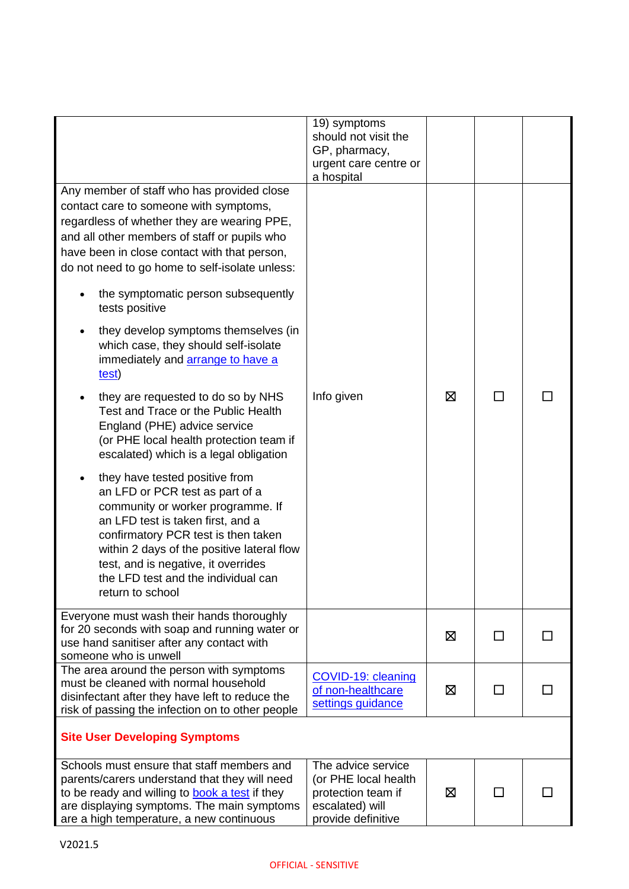|                                                                                                                                                                                                                                                                                                                                                                                                                                                                                                                                                                                                                                                                                                                                                                                                                                                                                                                                                                                                                             | 19) symptoms<br>should not visit the<br>GP, pharmacy,<br>urgent care centre or<br>a hospital              |   |              |  |
|-----------------------------------------------------------------------------------------------------------------------------------------------------------------------------------------------------------------------------------------------------------------------------------------------------------------------------------------------------------------------------------------------------------------------------------------------------------------------------------------------------------------------------------------------------------------------------------------------------------------------------------------------------------------------------------------------------------------------------------------------------------------------------------------------------------------------------------------------------------------------------------------------------------------------------------------------------------------------------------------------------------------------------|-----------------------------------------------------------------------------------------------------------|---|--------------|--|
| Any member of staff who has provided close<br>contact care to someone with symptoms,<br>regardless of whether they are wearing PPE,<br>and all other members of staff or pupils who<br>have been in close contact with that person,<br>do not need to go home to self-isolate unless:<br>the symptomatic person subsequently<br>tests positive<br>they develop symptoms themselves (in<br>which case, they should self-isolate<br>immediately and <b>arrange to have a</b><br>test)<br>they are requested to do so by NHS<br>Test and Trace or the Public Health<br>England (PHE) advice service<br>(or PHE local health protection team if<br>escalated) which is a legal obligation<br>they have tested positive from<br>an LFD or PCR test as part of a<br>community or worker programme. If<br>an LFD test is taken first, and a<br>confirmatory PCR test is then taken<br>within 2 days of the positive lateral flow<br>test, and is negative, it overrides<br>the LFD test and the individual can<br>return to school | Info given                                                                                                | ⊠ | П            |  |
| Everyone must wash their hands thoroughly<br>for 20 seconds with soap and running water or<br>use hand sanitiser after any contact with<br>someone who is unwell                                                                                                                                                                                                                                                                                                                                                                                                                                                                                                                                                                                                                                                                                                                                                                                                                                                            |                                                                                                           | ⊠ | П            |  |
| The area around the person with symptoms<br>must be cleaned with normal household<br>disinfectant after they have left to reduce the<br>risk of passing the infection on to other people                                                                                                                                                                                                                                                                                                                                                                                                                                                                                                                                                                                                                                                                                                                                                                                                                                    | COVID-19: cleaning<br>of non-healthcare<br>settings guidance                                              | 区 | $\mathsf{L}$ |  |
| <b>Site User Developing Symptoms</b>                                                                                                                                                                                                                                                                                                                                                                                                                                                                                                                                                                                                                                                                                                                                                                                                                                                                                                                                                                                        |                                                                                                           |   |              |  |
| Schools must ensure that staff members and<br>parents/carers understand that they will need<br>to be ready and willing to book a test if they<br>are displaying symptoms. The main symptoms<br>are a high temperature, a new continuous                                                                                                                                                                                                                                                                                                                                                                                                                                                                                                                                                                                                                                                                                                                                                                                     | The advice service<br>(or PHE local health<br>protection team if<br>escalated) will<br>provide definitive | 区 |              |  |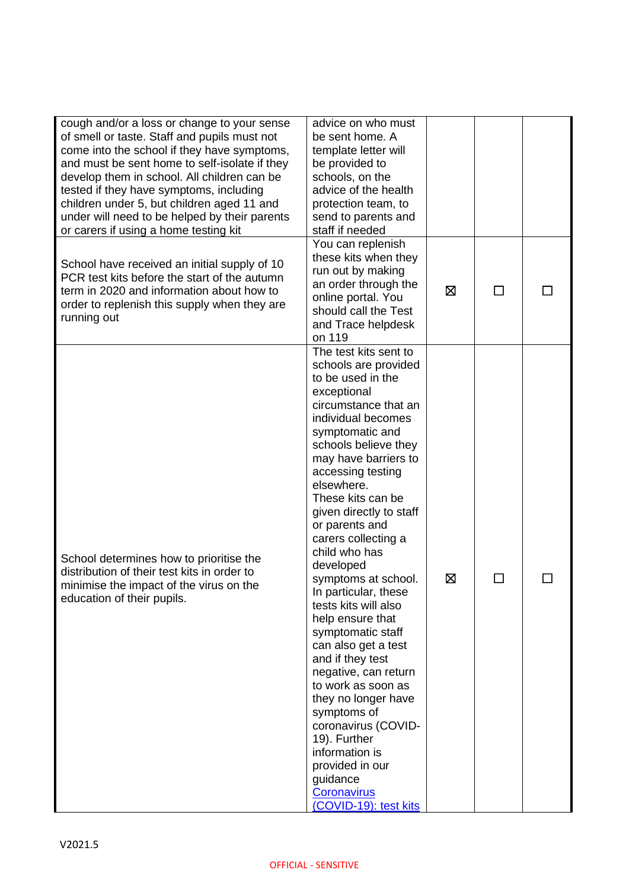| cough and/or a loss or change to your sense<br>of smell or taste. Staff and pupils must not<br>come into the school if they have symptoms,<br>and must be sent home to self-isolate if they<br>develop them in school. All children can be<br>tested if they have symptoms, including<br>children under 5, but children aged 11 and<br>under will need to be helped by their parents<br>or carers if using a home testing kit | advice on who must<br>be sent home. A<br>template letter will<br>be provided to<br>schools, on the<br>advice of the health<br>protection team, to<br>send to parents and<br>staff if needed                                                                                                                                                                                                                                                                                                                                                                                                                                                                                                                                                 |   |   |  |
|-------------------------------------------------------------------------------------------------------------------------------------------------------------------------------------------------------------------------------------------------------------------------------------------------------------------------------------------------------------------------------------------------------------------------------|---------------------------------------------------------------------------------------------------------------------------------------------------------------------------------------------------------------------------------------------------------------------------------------------------------------------------------------------------------------------------------------------------------------------------------------------------------------------------------------------------------------------------------------------------------------------------------------------------------------------------------------------------------------------------------------------------------------------------------------------|---|---|--|
| School have received an initial supply of 10<br>PCR test kits before the start of the autumn<br>term in 2020 and information about how to<br>order to replenish this supply when they are<br>running out                                                                                                                                                                                                                      | You can replenish<br>these kits when they<br>run out by making<br>an order through the<br>online portal. You<br>should call the Test<br>and Trace helpdesk<br>on 119                                                                                                                                                                                                                                                                                                                                                                                                                                                                                                                                                                        | ⊠ | П |  |
| School determines how to prioritise the<br>distribution of their test kits in order to<br>minimise the impact of the virus on the<br>education of their pupils.                                                                                                                                                                                                                                                               | The test kits sent to<br>schools are provided<br>to be used in the<br>exceptional<br>circumstance that an<br>individual becomes<br>symptomatic and<br>schools believe they<br>may have barriers to<br>accessing testing<br>elsewhere.<br>These kits can be<br>given directly to staff<br>or parents and<br>carers collecting a<br>child who has<br>developed<br>symptoms at school.<br>In particular, these<br>tests kits will also<br>help ensure that<br>symptomatic staff<br>can also get a test<br>and if they test<br>negative, can return<br>to work as soon as<br>they no longer have<br>symptoms of<br>coronavirus (COVID-<br>19). Further<br>information is<br>provided in our<br>guidance<br>Coronavirus<br>(COVID-19): test kits | ⊠ |   |  |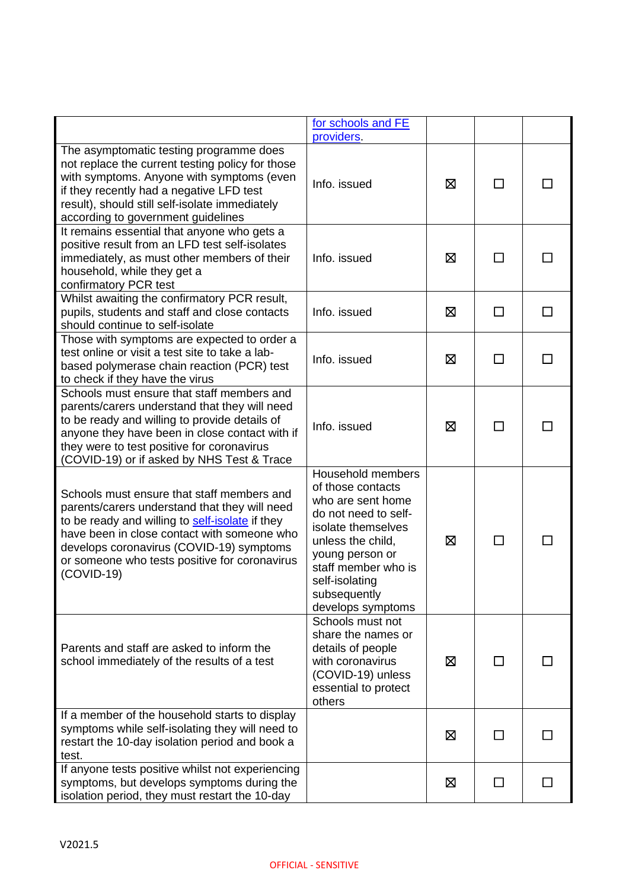|                                                                                                                                                                                                                                                                                                            | for schools and FE<br>providers.                                                                                                                                                                                                |   |              |              |
|------------------------------------------------------------------------------------------------------------------------------------------------------------------------------------------------------------------------------------------------------------------------------------------------------------|---------------------------------------------------------------------------------------------------------------------------------------------------------------------------------------------------------------------------------|---|--------------|--------------|
| The asymptomatic testing programme does<br>not replace the current testing policy for those<br>with symptoms. Anyone with symptoms (even<br>if they recently had a negative LFD test<br>result), should still self-isolate immediately<br>according to government guidelines                               | Info. issued                                                                                                                                                                                                                    | ⊠ |              |              |
| It remains essential that anyone who gets a<br>positive result from an LFD test self-isolates<br>immediately, as must other members of their<br>household, while they get a<br>confirmatory PCR test                                                                                                       | Info. issued                                                                                                                                                                                                                    | ⊠ | П            |              |
| Whilst awaiting the confirmatory PCR result,<br>pupils, students and staff and close contacts<br>should continue to self-isolate                                                                                                                                                                           | Info. issued                                                                                                                                                                                                                    | ⊠ | $\mathsf{L}$ | $\mathsf{L}$ |
| Those with symptoms are expected to order a<br>test online or visit a test site to take a lab-<br>based polymerase chain reaction (PCR) test<br>to check if they have the virus                                                                                                                            | Info. issued                                                                                                                                                                                                                    | ⊠ | $\mathbf{L}$ | $\Box$       |
| Schools must ensure that staff members and<br>parents/carers understand that they will need<br>to be ready and willing to provide details of<br>anyone they have been in close contact with if<br>they were to test positive for coronavirus<br>(COVID-19) or if asked by NHS Test & Trace                 | Info. issued                                                                                                                                                                                                                    | ⊠ | $\mathbf{I}$ |              |
| Schools must ensure that staff members and<br>parents/carers understand that they will need<br>to be ready and willing to self-isolate if they<br>have been in close contact with someone who<br>develops coronavirus (COVID-19) symptoms<br>or someone who tests positive for coronavirus<br>$(COVID-19)$ | Household members<br>of those contacts<br>who are sent home<br>do not need to self-<br>isolate themselves<br>unless the child,<br>young person or<br>staff member who is<br>self-isolating<br>subsequently<br>develops symptoms | ⊠ | ΙI           |              |
| Parents and staff are asked to inform the<br>school immediately of the results of a test                                                                                                                                                                                                                   | Schools must not<br>share the names or<br>details of people<br>with coronavirus<br>(COVID-19) unless<br>essential to protect<br>others                                                                                          | ⊠ |              |              |
| If a member of the household starts to display<br>symptoms while self-isolating they will need to<br>restart the 10-day isolation period and book a<br>test.                                                                                                                                               |                                                                                                                                                                                                                                 | ⊠ |              |              |
| If anyone tests positive whilst not experiencing<br>symptoms, but develops symptoms during the<br>isolation period, they must restart the 10-day                                                                                                                                                           |                                                                                                                                                                                                                                 | ⊠ | $\perp$      |              |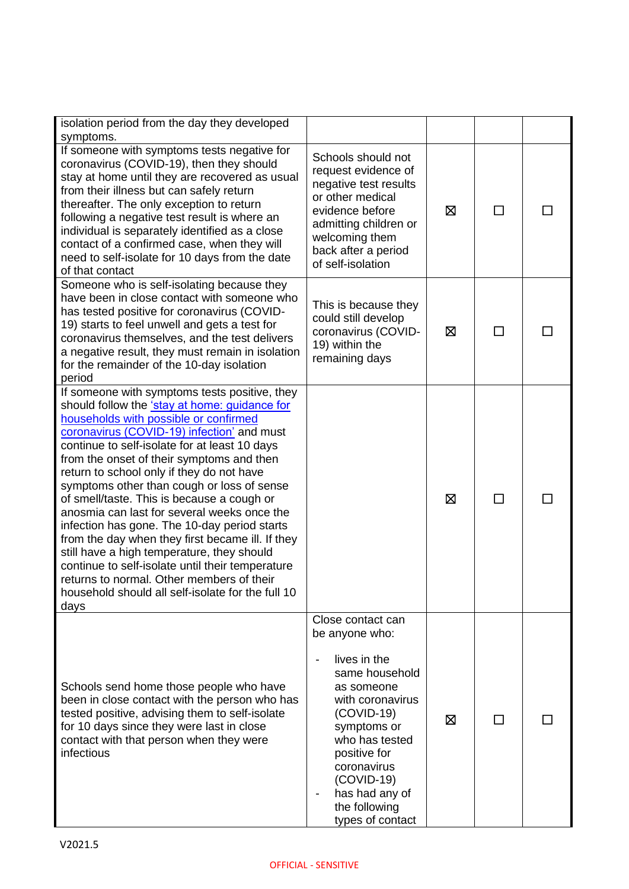| isolation period from the day they developed<br>symptoms.                                                                                                                                                                                                                                                                                                                                                                                                                                                                                                                                                                                                                                                                                                                                   |                                                                                                                                                                                                                                                                |   |              |  |
|---------------------------------------------------------------------------------------------------------------------------------------------------------------------------------------------------------------------------------------------------------------------------------------------------------------------------------------------------------------------------------------------------------------------------------------------------------------------------------------------------------------------------------------------------------------------------------------------------------------------------------------------------------------------------------------------------------------------------------------------------------------------------------------------|----------------------------------------------------------------------------------------------------------------------------------------------------------------------------------------------------------------------------------------------------------------|---|--------------|--|
| If someone with symptoms tests negative for<br>coronavirus (COVID-19), then they should<br>stay at home until they are recovered as usual<br>from their illness but can safely return<br>thereafter. The only exception to return<br>following a negative test result is where an<br>individual is separately identified as a close<br>contact of a confirmed case, when they will<br>need to self-isolate for 10 days from the date<br>of that contact                                                                                                                                                                                                                                                                                                                                     | Schools should not<br>request evidence of<br>negative test results<br>or other medical<br>evidence before<br>admitting children or<br>welcoming them<br>back after a period<br>of self-isolation                                                               | ⊠ | $\mathsf{L}$ |  |
| Someone who is self-isolating because they<br>have been in close contact with someone who<br>has tested positive for coronavirus (COVID-<br>19) starts to feel unwell and gets a test for<br>coronavirus themselves, and the test delivers<br>a negative result, they must remain in isolation<br>for the remainder of the 10-day isolation<br>period                                                                                                                                                                                                                                                                                                                                                                                                                                       | This is because they<br>could still develop<br>coronavirus (COVID-<br>19) within the<br>remaining days                                                                                                                                                         | 区 | $\perp$      |  |
| If someone with symptoms tests positive, they<br>should follow the 'stay at home: guidance for<br>households with possible or confirmed<br>coronavirus (COVID-19) infection' and must<br>continue to self-isolate for at least 10 days<br>from the onset of their symptoms and then<br>return to school only if they do not have<br>symptoms other than cough or loss of sense<br>of smell/taste. This is because a cough or<br>anosmia can last for several weeks once the<br>infection has gone. The 10-day period starts<br>from the day when they first became ill. If they<br>still have a high temperature, they should<br>continue to self-isolate until their temperature<br>returns to normal. Other members of their<br>household should all self-isolate for the full 10<br>days |                                                                                                                                                                                                                                                                | ⊠ | $\Box$       |  |
| Schools send home those people who have<br>been in close contact with the person who has<br>tested positive, advising them to self-isolate<br>for 10 days since they were last in close<br>contact with that person when they were<br>infectious                                                                                                                                                                                                                                                                                                                                                                                                                                                                                                                                            | Close contact can<br>be anyone who:<br>lives in the<br>same household<br>as someone<br>with coronavirus<br>$(COVID-19)$<br>symptoms or<br>who has tested<br>positive for<br>coronavirus<br>$(COVID-19)$<br>has had any of<br>the following<br>types of contact | ⊠ | ΙI           |  |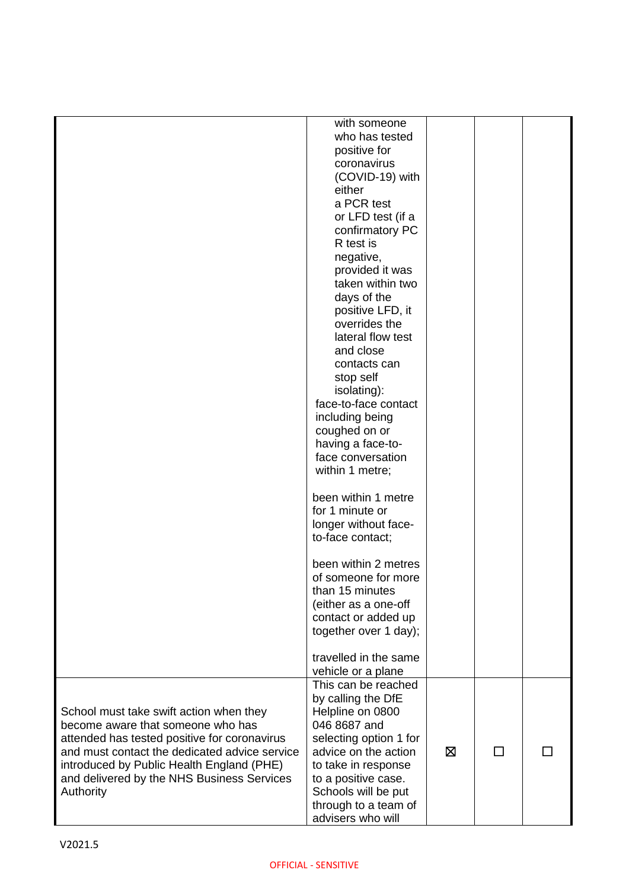|                                               | with someone           |   |   |  |
|-----------------------------------------------|------------------------|---|---|--|
|                                               | who has tested         |   |   |  |
|                                               | positive for           |   |   |  |
|                                               | coronavirus            |   |   |  |
|                                               | (COVID-19) with        |   |   |  |
|                                               | either                 |   |   |  |
|                                               | a PCR test             |   |   |  |
|                                               | or LFD test (if a      |   |   |  |
|                                               | confirmatory PC        |   |   |  |
|                                               | R test is              |   |   |  |
|                                               | negative,              |   |   |  |
|                                               | provided it was        |   |   |  |
|                                               | taken within two       |   |   |  |
|                                               | days of the            |   |   |  |
|                                               | positive LFD, it       |   |   |  |
|                                               | overrides the          |   |   |  |
|                                               | lateral flow test      |   |   |  |
|                                               | and close              |   |   |  |
|                                               | contacts can           |   |   |  |
|                                               |                        |   |   |  |
|                                               | stop self              |   |   |  |
|                                               | isolating):            |   |   |  |
|                                               | face-to-face contact   |   |   |  |
|                                               | including being        |   |   |  |
|                                               | coughed on or          |   |   |  |
|                                               | having a face-to-      |   |   |  |
|                                               | face conversation      |   |   |  |
|                                               | within 1 metre;        |   |   |  |
|                                               | been within 1 metre    |   |   |  |
|                                               | for 1 minute or        |   |   |  |
|                                               | longer without face-   |   |   |  |
|                                               | to-face contact;       |   |   |  |
|                                               |                        |   |   |  |
|                                               | been within 2 metres   |   |   |  |
|                                               | of someone for more    |   |   |  |
|                                               | than 15 minutes        |   |   |  |
|                                               | (either as a one-off   |   |   |  |
|                                               | contact or added up    |   |   |  |
|                                               | together over 1 day);  |   |   |  |
|                                               |                        |   |   |  |
|                                               | travelled in the same  |   |   |  |
|                                               | vehicle or a plane     |   |   |  |
|                                               | This can be reached    |   |   |  |
|                                               | by calling the DfE     |   |   |  |
| School must take swift action when they       | Helpline on 0800       |   |   |  |
| become aware that someone who has             | 046 8687 and           |   |   |  |
|                                               |                        |   |   |  |
| attended has tested positive for coronavirus  | selecting option 1 for |   |   |  |
| and must contact the dedicated advice service | advice on the action   | ⊠ | П |  |
| introduced by Public Health England (PHE)     | to take in response    |   |   |  |
| and delivered by the NHS Business Services    | to a positive case.    |   |   |  |
| Authority                                     | Schools will be put    |   |   |  |
|                                               | through to a team of   |   |   |  |
|                                               | advisers who will      |   |   |  |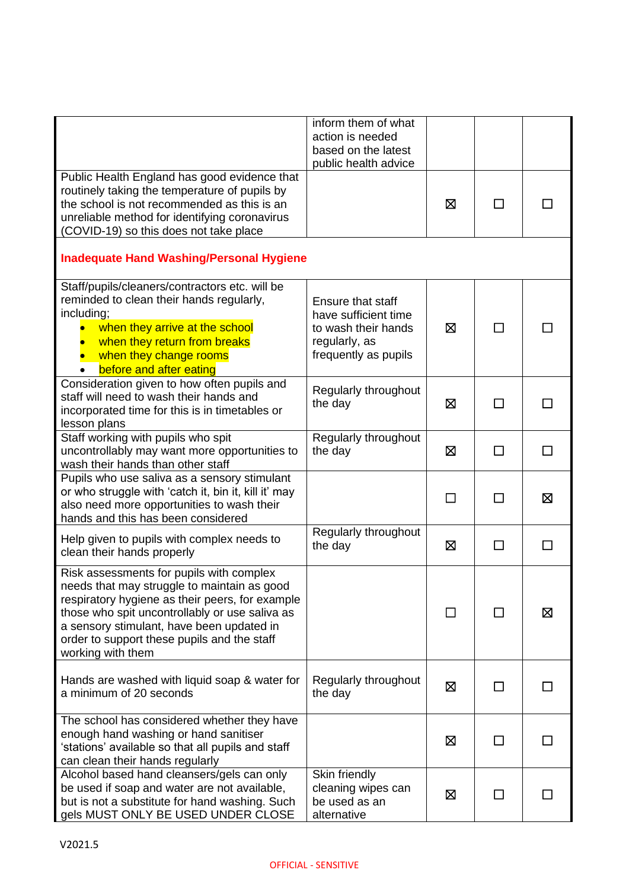|                                                                                                                                                                                                                                                                                                               | inform them of what<br>action is needed<br>based on the latest<br>public health advice                    |   |               |              |
|---------------------------------------------------------------------------------------------------------------------------------------------------------------------------------------------------------------------------------------------------------------------------------------------------------------|-----------------------------------------------------------------------------------------------------------|---|---------------|--------------|
| Public Health England has good evidence that<br>routinely taking the temperature of pupils by<br>the school is not recommended as this is an<br>unreliable method for identifying coronavirus<br>(COVID-19) so this does not take place                                                                       |                                                                                                           | ⊠ | $\mathbf{I}$  |              |
| <b>Inadequate Hand Washing/Personal Hygiene</b>                                                                                                                                                                                                                                                               |                                                                                                           |   |               |              |
| Staff/pupils/cleaners/contractors etc. will be<br>reminded to clean their hands regularly,<br>including;<br>when they arrive at the school<br>when they return from breaks<br>when they change rooms<br>before and after eating<br>$\bullet$                                                                  | Ensure that staff<br>have sufficient time<br>to wash their hands<br>regularly, as<br>frequently as pupils | ⊠ | П             |              |
| Consideration given to how often pupils and<br>staff will need to wash their hands and<br>incorporated time for this is in timetables or<br>lesson plans                                                                                                                                                      | Regularly throughout<br>the day                                                                           | 区 | $\Box$        |              |
| Staff working with pupils who spit<br>uncontrollably may want more opportunities to<br>wash their hands than other staff                                                                                                                                                                                      | Regularly throughout<br>the day                                                                           | 区 | $\Box$        | $\mathsf{L}$ |
| Pupils who use saliva as a sensory stimulant<br>or who struggle with 'catch it, bin it, kill it' may<br>also need more opportunities to wash their<br>hands and this has been considered                                                                                                                      |                                                                                                           |   | $\mathcal{L}$ | ⊠            |
| Help given to pupils with complex needs to<br>clean their hands properly                                                                                                                                                                                                                                      | Regularly throughout<br>the day                                                                           | ⊠ | ΙI            |              |
| Risk assessments for pupils with complex<br>needs that may struggle to maintain as good<br>respiratory hygiene as their peers, for example<br>those who spit uncontrollably or use saliva as<br>a sensory stimulant, have been updated in<br>order to support these pupils and the staff<br>working with them |                                                                                                           |   |               | ⊠            |
| Hands are washed with liquid soap & water for<br>a minimum of 20 seconds                                                                                                                                                                                                                                      | Regularly throughout<br>the day                                                                           | ⊠ | ΙI            |              |
| The school has considered whether they have<br>enough hand washing or hand sanitiser<br>'stations' available so that all pupils and staff<br>can clean their hands regularly                                                                                                                                  |                                                                                                           | ⊠ | $\mathsf{L}$  |              |
| Alcohol based hand cleansers/gels can only<br>be used if soap and water are not available,<br>but is not a substitute for hand washing. Such<br>gels MUST ONLY BE USED UNDER CLOSE                                                                                                                            | Skin friendly<br>cleaning wipes can<br>be used as an<br>alternative                                       | ⊠ | ΙI            |              |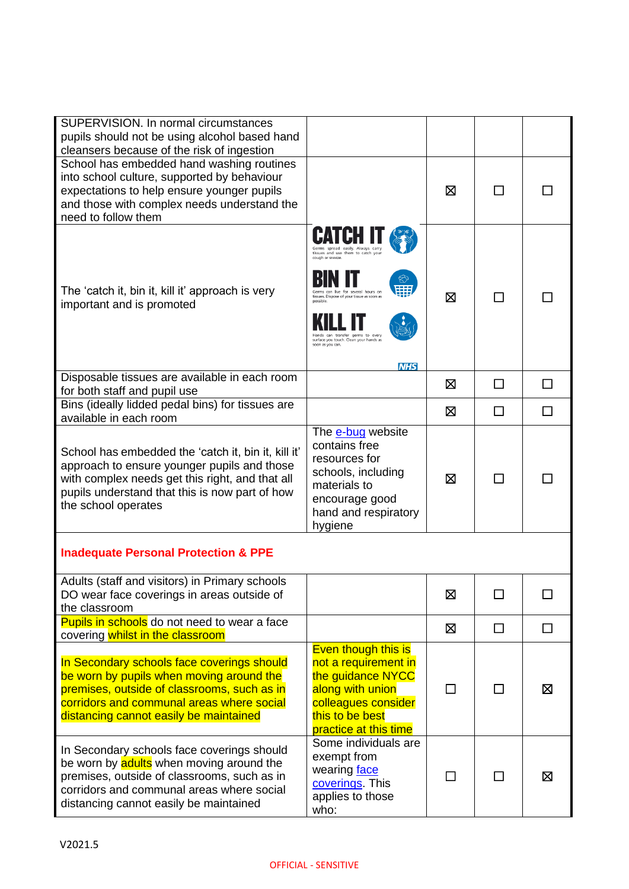| SUPERVISION. In normal circumstances<br>pupils should not be using alcohol based hand<br>cleansers because of the risk of ingestion                                                                                            |                                                                                                                                                                                                  |   |              |   |
|--------------------------------------------------------------------------------------------------------------------------------------------------------------------------------------------------------------------------------|--------------------------------------------------------------------------------------------------------------------------------------------------------------------------------------------------|---|--------------|---|
| School has embedded hand washing routines<br>into school culture, supported by behaviour<br>expectations to help ensure younger pupils<br>and those with complex needs understand the<br>need to follow them                   |                                                                                                                                                                                                  | ⊠ |              |   |
| The 'catch it, bin it, kill it' approach is very<br>important and is promoted                                                                                                                                                  | tissues and use them to catch you<br>cough or sneeze.<br>tissues. Dispose of your tissue as soon as<br>germs to even<br>surface you touch. Clean your hands as<br>soon as you can.<br><b>NHS</b> | ⊠ | $\mathbf{I}$ |   |
| Disposable tissues are available in each room<br>for both staff and pupil use                                                                                                                                                  |                                                                                                                                                                                                  | ⊠ | П            | П |
| Bins (ideally lidded pedal bins) for tissues are<br>available in each room                                                                                                                                                     |                                                                                                                                                                                                  | ⊠ | □            | П |
| School has embedded the 'catch it, bin it, kill it'<br>approach to ensure younger pupils and those<br>with complex needs get this right, and that all<br>pupils understand that this is now part of how<br>the school operates | The e-bug website<br>contains free<br>resources for<br>schools, including<br>materials to<br>encourage good<br>hand and respiratory<br>hygiene                                                   | ⊠ | $\mathbf{I}$ |   |
| <b>Inadequate Personal Protection &amp; PPE</b>                                                                                                                                                                                |                                                                                                                                                                                                  |   |              |   |
| Adults (staff and visitors) in Primary schools<br>DO wear face coverings in areas outside of<br>the classroom                                                                                                                  |                                                                                                                                                                                                  | ⊠ |              |   |
| Pupils in schools do not need to wear a face<br>covering whilst in the classroom                                                                                                                                               |                                                                                                                                                                                                  | 区 | □            | П |
| In Secondary schools face coverings should<br>be worn by pupils when moving around the<br>premises, outside of classrooms, such as in<br>corridors and communal areas where social<br>distancing cannot easily be maintained   | <b>Even though this is</b><br>not a requirement in<br>the guidance NYCC<br>along with union<br>colleagues consider<br>this to be best<br>practice at this time                                   | П | $\mathsf{L}$ | ⊠ |
| In Secondary schools face coverings should<br>be worn by adults when moving around the<br>premises, outside of classrooms, such as in<br>corridors and communal areas where social<br>distancing cannot easily be maintained   | Some individuals are<br>exempt from<br>wearing face<br>coverings. This<br>applies to those<br>who:                                                                                               |   |              | ⊠ |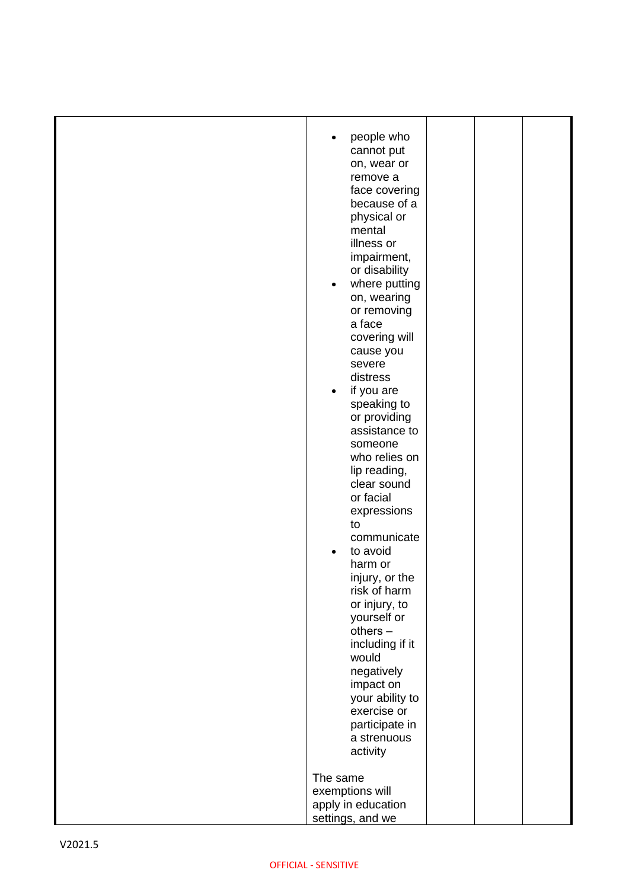|         | people who<br>cannot put<br>on, wear or<br>remove a<br>face covering<br>because of a<br>physical or<br>mental<br>illness or<br>impairment,<br>or disability<br>where putting<br>$\bullet$<br>on, wearing<br>or removing<br>a face<br>covering will<br>cause you<br>severe<br>distress<br>if you are<br>$\bullet$<br>speaking to<br>or providing<br>assistance to<br>someone<br>who relies on<br>lip reading,<br>clear sound<br>or facial<br>expressions<br>to<br>communicate<br>to avoid<br>$\bullet$<br>harm or<br>injury, or the<br>risk of harm<br>or injury, to<br>yourself or<br>$others -$<br>including if it<br>would<br>negatively<br>impact on<br>your ability to<br>exercise or<br>participate in<br>a strenuous<br>activity<br>The same<br>exemptions will |  |  |
|---------|-----------------------------------------------------------------------------------------------------------------------------------------------------------------------------------------------------------------------------------------------------------------------------------------------------------------------------------------------------------------------------------------------------------------------------------------------------------------------------------------------------------------------------------------------------------------------------------------------------------------------------------------------------------------------------------------------------------------------------------------------------------------------|--|--|
|         | apply in education<br>settings, and we                                                                                                                                                                                                                                                                                                                                                                                                                                                                                                                                                                                                                                                                                                                                |  |  |
| V2021.5 |                                                                                                                                                                                                                                                                                                                                                                                                                                                                                                                                                                                                                                                                                                                                                                       |  |  |
|         | <b>OFFICIAL - SENSITIVE</b>                                                                                                                                                                                                                                                                                                                                                                                                                                                                                                                                                                                                                                                                                                                                           |  |  |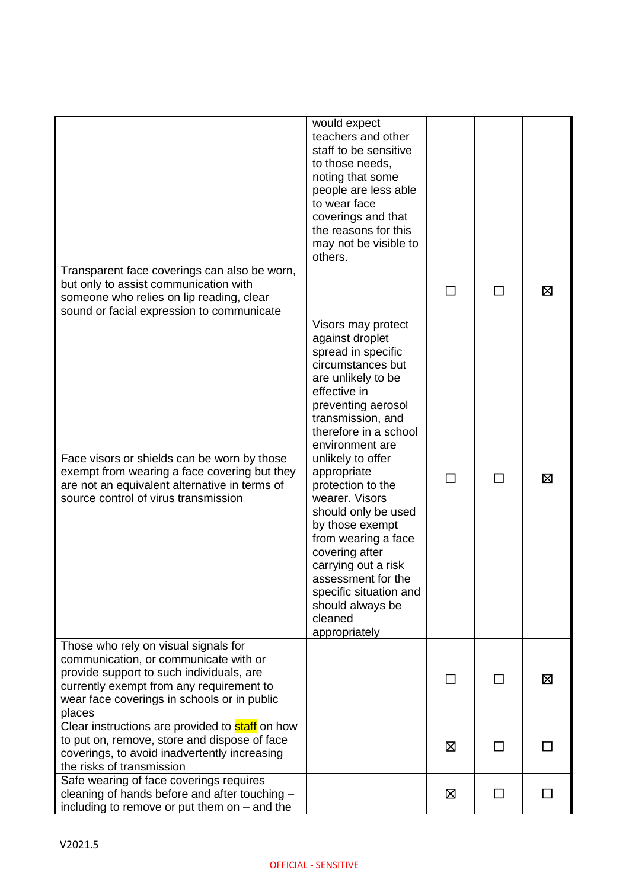|                                                                                                                                                                                                                                | would expect<br>teachers and other<br>staff to be sensitive<br>to those needs,<br>noting that some<br>people are less able<br>to wear face<br>coverings and that<br>the reasons for this<br>may not be visible to<br>others.                                                                                                                                                                                                                                                                       |         |              |              |
|--------------------------------------------------------------------------------------------------------------------------------------------------------------------------------------------------------------------------------|----------------------------------------------------------------------------------------------------------------------------------------------------------------------------------------------------------------------------------------------------------------------------------------------------------------------------------------------------------------------------------------------------------------------------------------------------------------------------------------------------|---------|--------------|--------------|
| Transparent face coverings can also be worn,<br>but only to assist communication with<br>someone who relies on lip reading, clear<br>sound or facial expression to communicate                                                 |                                                                                                                                                                                                                                                                                                                                                                                                                                                                                                    |         | П            | ⊠            |
| Face visors or shields can be worn by those<br>exempt from wearing a face covering but they<br>are not an equivalent alternative in terms of<br>source control of virus transmission                                           | Visors may protect<br>against droplet<br>spread in specific<br>circumstances but<br>are unlikely to be<br>effective in<br>preventing aerosol<br>transmission, and<br>therefore in a school<br>environment are<br>unlikely to offer<br>appropriate<br>protection to the<br>wearer. Visors<br>should only be used<br>by those exempt<br>from wearing a face<br>covering after<br>carrying out a risk<br>assessment for the<br>specific situation and<br>should always be<br>cleaned<br>appropriately |         | $\Box$       | ⊠            |
| Those who rely on visual signals for<br>communication, or communicate with or<br>provide support to such individuals, are<br>currently exempt from any requirement to<br>wear face coverings in schools or in public<br>places |                                                                                                                                                                                                                                                                                                                                                                                                                                                                                                    | $\perp$ | ΙI           | ⊠            |
| Clear instructions are provided to staff on how<br>to put on, remove, store and dispose of face<br>coverings, to avoid inadvertently increasing<br>the risks of transmission                                                   |                                                                                                                                                                                                                                                                                                                                                                                                                                                                                                    | ⊠       | $\mathsf{L}$ |              |
| Safe wearing of face coverings requires<br>cleaning of hands before and after touching -<br>including to remove or put them on $-$ and the                                                                                     |                                                                                                                                                                                                                                                                                                                                                                                                                                                                                                    | ⊠       | П            | $\mathbf{I}$ |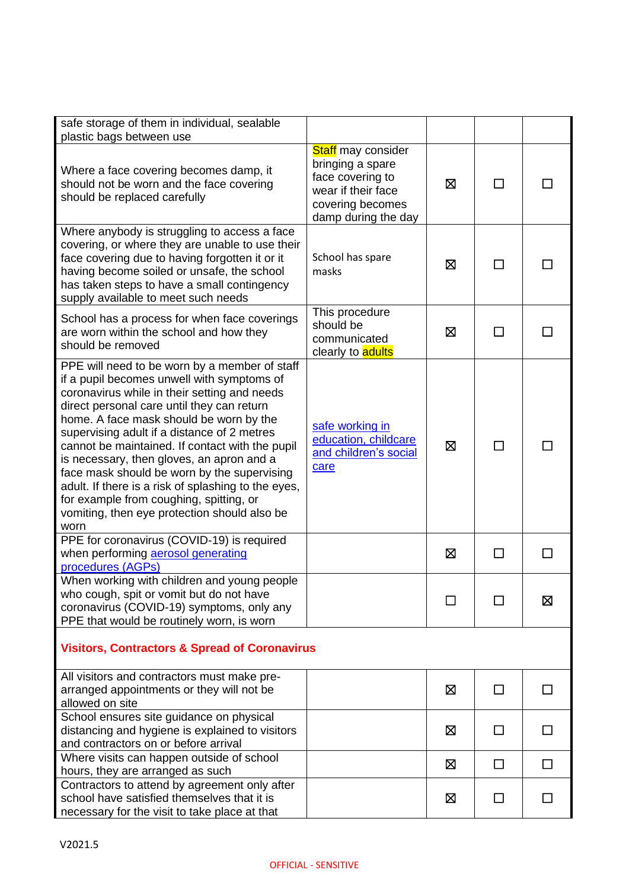| safe storage of them in individual, sealable<br>plastic bags between use                                                                                                                                                                                                                                                                                                                                                                                                                                                                                                                     |                                                                                                                                    |             |              |              |
|----------------------------------------------------------------------------------------------------------------------------------------------------------------------------------------------------------------------------------------------------------------------------------------------------------------------------------------------------------------------------------------------------------------------------------------------------------------------------------------------------------------------------------------------------------------------------------------------|------------------------------------------------------------------------------------------------------------------------------------|-------------|--------------|--------------|
| Where a face covering becomes damp, it<br>should not be worn and the face covering<br>should be replaced carefully                                                                                                                                                                                                                                                                                                                                                                                                                                                                           | <b>Staff</b> may consider<br>bringing a spare<br>face covering to<br>wear if their face<br>covering becomes<br>damp during the day | ⊠           |              |              |
| Where anybody is struggling to access a face<br>covering, or where they are unable to use their<br>face covering due to having forgotten it or it<br>having become soiled or unsafe, the school<br>has taken steps to have a small contingency<br>supply available to meet such needs                                                                                                                                                                                                                                                                                                        | School has spare<br>masks                                                                                                          | ⊠           |              |              |
| School has a process for when face coverings<br>are worn within the school and how they<br>should be removed                                                                                                                                                                                                                                                                                                                                                                                                                                                                                 | This procedure<br>should be<br>communicated<br>clearly to <b>adults</b>                                                            | ⊠           | ΙI           |              |
| PPE will need to be worn by a member of staff<br>if a pupil becomes unwell with symptoms of<br>coronavirus while in their setting and needs<br>direct personal care until they can return<br>home. A face mask should be worn by the<br>supervising adult if a distance of 2 metres<br>cannot be maintained. If contact with the pupil<br>is necessary, then gloves, an apron and a<br>face mask should be worn by the supervising<br>adult. If there is a risk of splashing to the eyes,<br>for example from coughing, spitting, or<br>vomiting, then eye protection should also be<br>worn | safe working in<br>education, childcare<br>and children's social<br>care                                                           | $\boxtimes$ | ΙI           |              |
| PPE for coronavirus (COVID-19) is required<br>when performing aerosol generating<br>procedures (AGPs)                                                                                                                                                                                                                                                                                                                                                                                                                                                                                        |                                                                                                                                    | 区           | П            | H            |
| When working with children and young people<br>who cough, spit or vomit but do not have<br>coronavirus (COVID-19) symptoms, only any<br>PPE that would be routinely worn, is worn                                                                                                                                                                                                                                                                                                                                                                                                            |                                                                                                                                    |             |              | ⊠            |
| <b>Visitors, Contractors &amp; Spread of Coronavirus</b>                                                                                                                                                                                                                                                                                                                                                                                                                                                                                                                                     |                                                                                                                                    |             |              |              |
| All visitors and contractors must make pre-<br>arranged appointments or they will not be<br>allowed on site                                                                                                                                                                                                                                                                                                                                                                                                                                                                                  |                                                                                                                                    | 区           |              |              |
| School ensures site guidance on physical<br>distancing and hygiene is explained to visitors<br>and contractors on or before arrival                                                                                                                                                                                                                                                                                                                                                                                                                                                          |                                                                                                                                    | 区           | $\mathsf{L}$ | $\mathsf{L}$ |
| Where visits can happen outside of school<br>hours, they are arranged as such                                                                                                                                                                                                                                                                                                                                                                                                                                                                                                                |                                                                                                                                    | ⊠           | $\mathsf{L}$ | П            |
| Contractors to attend by agreement only after<br>school have satisfied themselves that it is<br>necessary for the visit to take place at that                                                                                                                                                                                                                                                                                                                                                                                                                                                |                                                                                                                                    | ⊠           |              |              |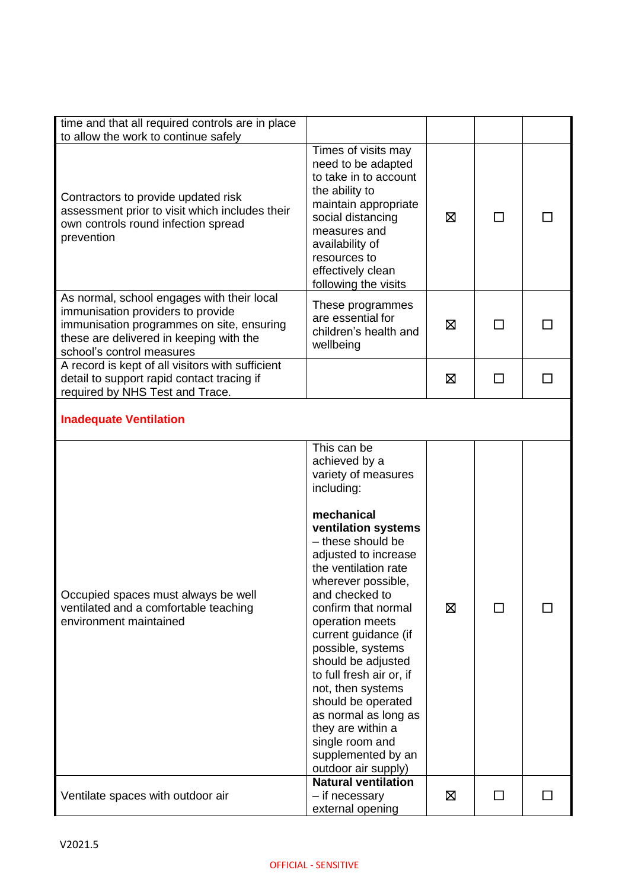| time and that all required controls are in place<br>to allow the work to continue safely                                                                                                             |                                                                                                                                                                                                                                                                                                                                                                                                                                                                                                                      |   |    |  |
|------------------------------------------------------------------------------------------------------------------------------------------------------------------------------------------------------|----------------------------------------------------------------------------------------------------------------------------------------------------------------------------------------------------------------------------------------------------------------------------------------------------------------------------------------------------------------------------------------------------------------------------------------------------------------------------------------------------------------------|---|----|--|
| Contractors to provide updated risk<br>assessment prior to visit which includes their<br>own controls round infection spread<br>prevention                                                           | Times of visits may<br>need to be adapted<br>to take in to account<br>the ability to<br>maintain appropriate<br>social distancing<br>measures and<br>availability of<br>resources to<br>effectively clean<br>following the visits                                                                                                                                                                                                                                                                                    | ⊠ | ΙI |  |
| As normal, school engages with their local<br>immunisation providers to provide<br>immunisation programmes on site, ensuring<br>these are delivered in keeping with the<br>school's control measures | These programmes<br>are essential for<br>children's health and<br>wellbeing                                                                                                                                                                                                                                                                                                                                                                                                                                          | ⊠ | ΙI |  |
| A record is kept of all visitors with sufficient<br>detail to support rapid contact tracing if<br>required by NHS Test and Trace.                                                                    |                                                                                                                                                                                                                                                                                                                                                                                                                                                                                                                      | ⊠ | П  |  |
| <b>Inadequate Ventilation</b>                                                                                                                                                                        |                                                                                                                                                                                                                                                                                                                                                                                                                                                                                                                      |   |    |  |
| Occupied spaces must always be well<br>ventilated and a comfortable teaching<br>environment maintained                                                                                               | This can be<br>achieved by a<br>variety of measures<br>including:<br>mechanical<br>ventilation systems<br>- these should be<br>adjusted to increase<br>the ventilation rate<br>wherever possible,<br>and checked to<br>confirm that normal<br>operation meets<br>current guidance (if<br>possible, systems<br>should be adjusted<br>to full fresh air or, if<br>not, then systems<br>should be operated<br>as normal as long as<br>they are within a<br>single room and<br>supplemented by an<br>outdoor air supply) | 区 |    |  |
| Ventilate spaces with outdoor air                                                                                                                                                                    | <b>Natural ventilation</b><br>- if necessary<br>external opening                                                                                                                                                                                                                                                                                                                                                                                                                                                     | ⊠ | ΙI |  |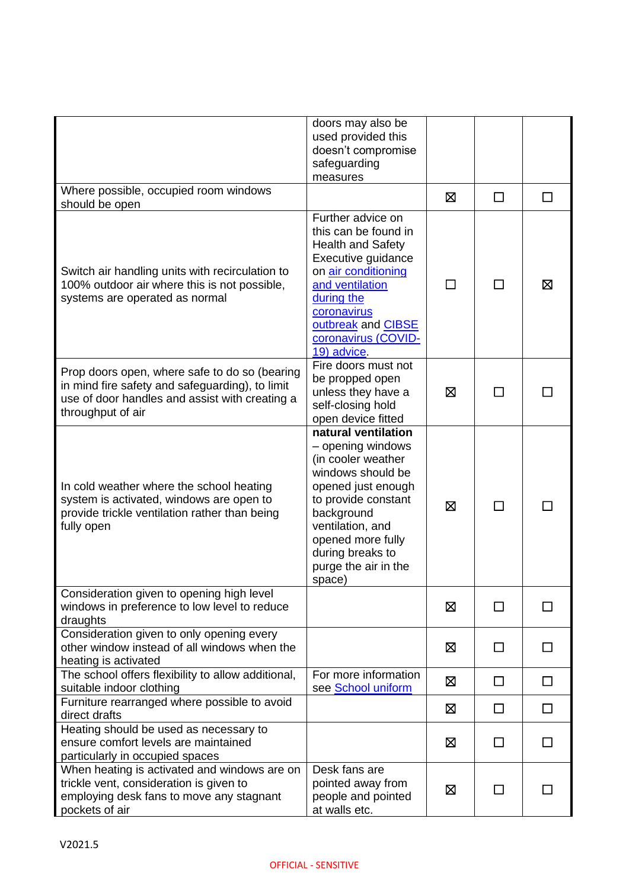|                                                                                                                                                                         | doors may also be<br>used provided this<br>doesn't compromise<br>safeguarding<br>measures                                                                                                                                                     |   |              |        |
|-------------------------------------------------------------------------------------------------------------------------------------------------------------------------|-----------------------------------------------------------------------------------------------------------------------------------------------------------------------------------------------------------------------------------------------|---|--------------|--------|
| Where possible, occupied room windows<br>should be open                                                                                                                 |                                                                                                                                                                                                                                               | ⊠ | □            | $\Box$ |
| Switch air handling units with recirculation to<br>100% outdoor air where this is not possible,<br>systems are operated as normal                                       | Further advice on<br>this can be found in<br><b>Health and Safety</b><br>Executive guidance<br>on air conditioning<br>and ventilation<br>during the<br>coronavirus<br>outbreak and CIBSE<br>coronavirus (COVID-<br>19) advice                 |   | ΙI           | ⊠      |
| Prop doors open, where safe to do so (bearing<br>in mind fire safety and safeguarding), to limit<br>use of door handles and assist with creating a<br>throughput of air | Fire doors must not<br>be propped open<br>unless they have a<br>self-closing hold<br>open device fitted                                                                                                                                       | ⊠ |              |        |
| In cold weather where the school heating<br>system is activated, windows are open to<br>provide trickle ventilation rather than being<br>fully open                     | natural ventilation<br>- opening windows<br>(in cooler weather<br>windows should be<br>opened just enough<br>to provide constant<br>background<br>ventilation, and<br>opened more fully<br>during breaks to<br>purge the air in the<br>space) | ⊠ |              |        |
| Consideration given to opening high level<br>windows in preference to low level to reduce<br>draughts                                                                   |                                                                                                                                                                                                                                               | ⊠ | $\mathsf{L}$ |        |
| Consideration given to only opening every<br>other window instead of all windows when the<br>heating is activated                                                       |                                                                                                                                                                                                                                               | ⊠ | П            | П      |
| The school offers flexibility to allow additional,<br>suitable indoor clothing                                                                                          | For more information<br>see School uniform                                                                                                                                                                                                    | 区 | $\Box$       | $\Box$ |
| Furniture rearranged where possible to avoid<br>direct drafts                                                                                                           |                                                                                                                                                                                                                                               | ⊠ | $\Box$       | □      |
| Heating should be used as necessary to<br>ensure comfort levels are maintained<br>particularly in occupied spaces                                                       |                                                                                                                                                                                                                                               | ⊠ | П            | ΙI     |
| When heating is activated and windows are on<br>trickle vent, consideration is given to<br>employing desk fans to move any stagnant<br>pockets of air                   | Desk fans are<br>pointed away from<br>people and pointed<br>at walls etc.                                                                                                                                                                     | ⊠ | П            |        |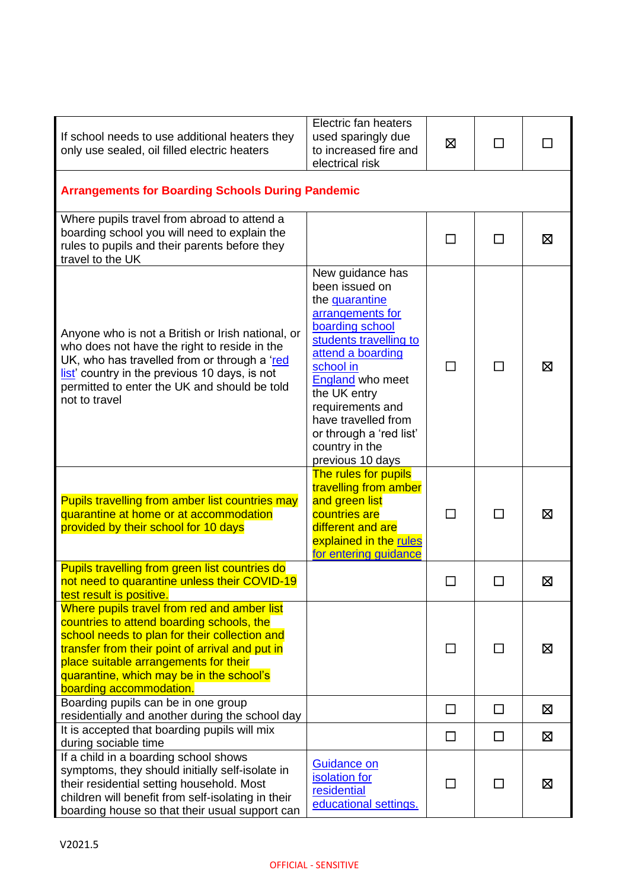| If school needs to use additional heaters they<br>only use sealed, oil filled electric heaters                                                                                                                                                                                                               | Electric fan heaters<br>used sparingly due<br>to increased fire and<br>electrical risk                                                                                                                                                                                                                  | 区            | П            |   |
|--------------------------------------------------------------------------------------------------------------------------------------------------------------------------------------------------------------------------------------------------------------------------------------------------------------|---------------------------------------------------------------------------------------------------------------------------------------------------------------------------------------------------------------------------------------------------------------------------------------------------------|--------------|--------------|---|
| <b>Arrangements for Boarding Schools During Pandemic</b>                                                                                                                                                                                                                                                     |                                                                                                                                                                                                                                                                                                         |              |              |   |
| Where pupils travel from abroad to attend a<br>boarding school you will need to explain the<br>rules to pupils and their parents before they<br>travel to the UK                                                                                                                                             |                                                                                                                                                                                                                                                                                                         |              |              | 区 |
| Anyone who is not a British or Irish national, or<br>who does not have the right to reside in the<br>UK, who has travelled from or through a 'red<br>list' country in the previous 10 days, is not<br>permitted to enter the UK and should be told<br>not to travel                                          | New guidance has<br>been issued on<br>the quarantine<br>arrangements for<br>boarding school<br>students travelling to<br>attend a boarding<br>school in<br>England who meet<br>the UK entry<br>requirements and<br>have travelled from<br>or through a 'red list'<br>country in the<br>previous 10 days | l I          | $\mathbf{I}$ | ⊠ |
| Pupils travelling from amber list countries may<br>quarantine at home or at accommodation<br>provided by their school for 10 days                                                                                                                                                                            | The rules for pupils<br>travelling from amber<br>and green list<br>countries are<br>different and are<br>explained in the rules<br>for entering guidance                                                                                                                                                | П            | П            | ⊠ |
| Pupils travelling from green list countries do<br>not need to quarantine unless their COVID-19<br>test result is positive.                                                                                                                                                                                   |                                                                                                                                                                                                                                                                                                         |              |              | ⊠ |
| Where pupils travel from red and amber list<br>countries to attend boarding schools, the<br>school needs to plan for their collection and<br>transfer from their point of arrival and put in<br>place suitable arrangements for their<br>quarantine, which may be in the school's<br>boarding accommodation. |                                                                                                                                                                                                                                                                                                         |              |              | ⊠ |
| Boarding pupils can be in one group<br>residentially and another during the school day                                                                                                                                                                                                                       |                                                                                                                                                                                                                                                                                                         | □            | □            | 区 |
| It is accepted that boarding pupils will mix<br>during sociable time                                                                                                                                                                                                                                         |                                                                                                                                                                                                                                                                                                         | $\Box$       | □            | 区 |
| If a child in a boarding school shows<br>symptoms, they should initially self-isolate in<br>their residential setting household. Most<br>children will benefit from self-isolating in their<br>boarding house so that their usual support can                                                                | <b>Guidance on</b><br>isolation for<br>residential<br>educational settings.                                                                                                                                                                                                                             | $\mathsf{L}$ | ΙI           | 区 |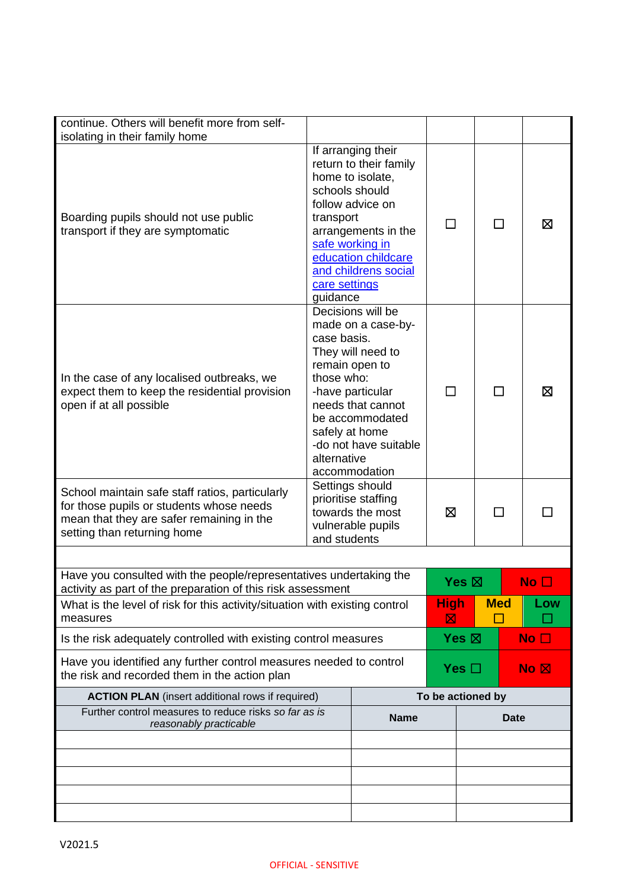| continue. Others will benefit more from self-<br>isolating in their family home                                                                                         |                                                                                                 |                                                                                                                                                                    |                   |            |                                 |
|-------------------------------------------------------------------------------------------------------------------------------------------------------------------------|-------------------------------------------------------------------------------------------------|--------------------------------------------------------------------------------------------------------------------------------------------------------------------|-------------------|------------|---------------------------------|
| Boarding pupils should not use public<br>transport if they are symptomatic                                                                                              | schools should<br>transport<br>safe working in<br>care settings<br>guidance                     | If arranging their<br>return to their family<br>home to isolate,<br>follow advice on<br>arrangements in the<br>education childcare<br>and childrens social         | □                 | ΙI         | ⊠                               |
| In the case of any localised outbreaks, we<br>expect them to keep the residential provision<br>open if at all possible                                                  | case basis.<br>remain open to<br>those who:<br>safely at home<br>alternative                    | Decisions will be<br>made on a case-by-<br>They will need to<br>-have particular<br>needs that cannot<br>be accommodated<br>-do not have suitable<br>accommodation |                   |            | ⊠                               |
| School maintain safe staff ratios, particularly<br>for those pupils or students whose needs<br>mean that they are safer remaining in the<br>setting than returning home | Settings should<br>prioritise staffing<br>towards the most<br>vulnerable pupils<br>and students |                                                                                                                                                                    | ⊠                 |            |                                 |
|                                                                                                                                                                         |                                                                                                 |                                                                                                                                                                    |                   |            |                                 |
| Have you consulted with the people/representatives undertaking the<br>activity as part of the preparation of this risk assessment                                       |                                                                                                 |                                                                                                                                                                    | Yes ⊠             |            | No $\Box$                       |
| What is the level of risk for this activity/situation with existing control<br>measures                                                                                 |                                                                                                 |                                                                                                                                                                    | <b>High</b><br>⊠  | <b>Med</b> | Low                             |
| Is the risk adequately controlled with existing control measures                                                                                                        |                                                                                                 |                                                                                                                                                                    | Yes $\boxtimes$   |            | No $\square$                    |
| Have you identified any further control measures needed to control<br>the risk and recorded them in the action plan                                                     |                                                                                                 |                                                                                                                                                                    | Yes $\square$     |            | $\overline{N}$ o $\overline{M}$ |
| <b>ACTION PLAN</b> (insert additional rows if required)                                                                                                                 |                                                                                                 |                                                                                                                                                                    | To be actioned by |            |                                 |
| Further control measures to reduce risks so far as is<br>reasonably practicable                                                                                         |                                                                                                 | <b>Name</b>                                                                                                                                                        |                   |            | <b>Date</b>                     |
|                                                                                                                                                                         |                                                                                                 |                                                                                                                                                                    |                   |            |                                 |
|                                                                                                                                                                         |                                                                                                 |                                                                                                                                                                    |                   |            |                                 |
|                                                                                                                                                                         |                                                                                                 |                                                                                                                                                                    |                   |            |                                 |
|                                                                                                                                                                         |                                                                                                 |                                                                                                                                                                    |                   |            |                                 |